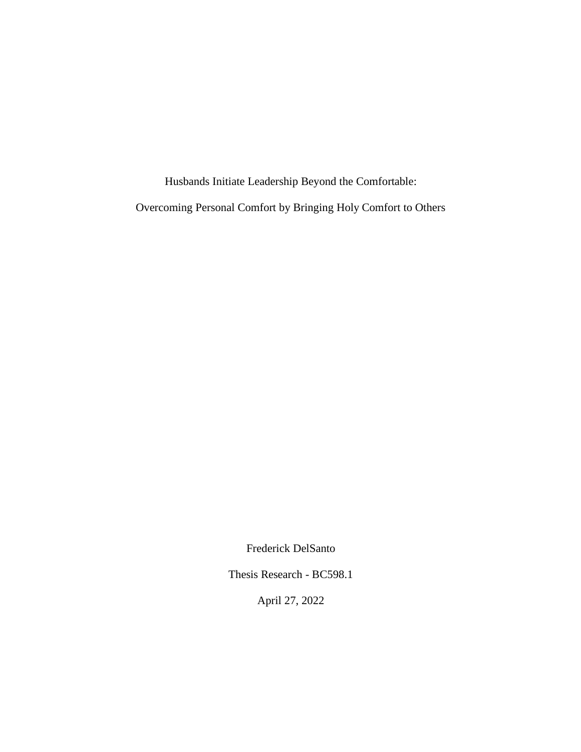Husbands Initiate Leadership Beyond the Comfortable:

Overcoming Personal Comfort by Bringing Holy Comfort to Others

Frederick DelSanto

Thesis Research - BC598.1

April 27, 2022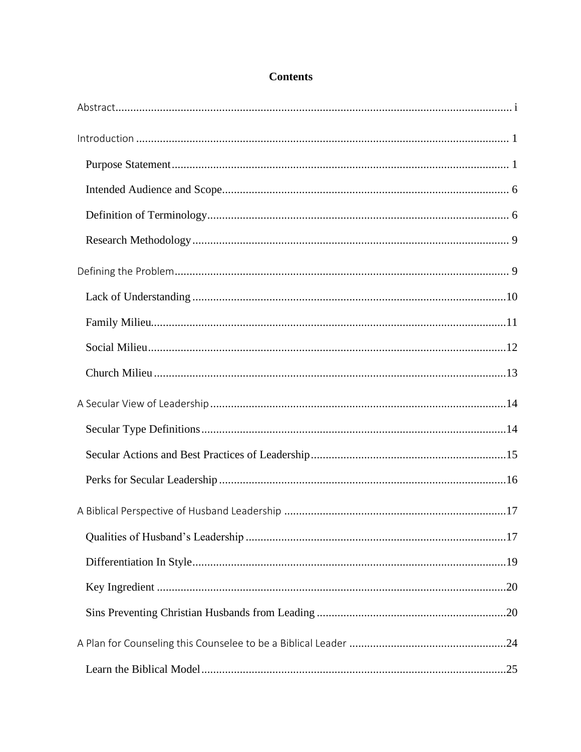# **Contents**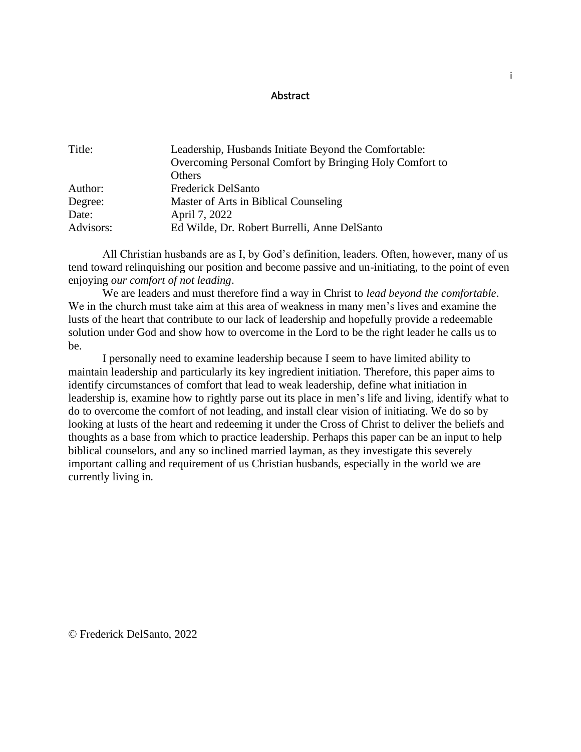### **Abstract**

<span id="page-3-0"></span>

| Title:    | Leadership, Husbands Initiate Beyond the Comfortable:   |
|-----------|---------------------------------------------------------|
|           | Overcoming Personal Comfort by Bringing Holy Comfort to |
|           | <b>Others</b>                                           |
| Author:   | <b>Frederick DelSanto</b>                               |
| Degree:   | Master of Arts in Biblical Counseling                   |
| Date:     | April 7, 2022                                           |
| Advisors: | Ed Wilde, Dr. Robert Burrelli, Anne DelSanto            |

 All Christian husbands are as I, by God's definition, leaders. Often, however, many of us tend toward relinquishing our position and become passive and un-initiating, to the point of even enjoying *our comfort of not leading*.

We are leaders and must therefore find a way in Christ to *lead beyond the comfortable*. We in the church must take aim at this area of weakness in many men's lives and examine the lusts of the heart that contribute to our lack of leadership and hopefully provide a redeemable solution under God and show how to overcome in the Lord to be the right leader he calls us to be.

I personally need to examine leadership because I seem to have limited ability to maintain leadership and particularly its key ingredient initiation. Therefore, this paper aims to identify circumstances of comfort that lead to weak leadership, define what initiation in leadership is, examine how to rightly parse out its place in men's life and living, identify what to do to overcome the comfort of not leading, and install clear vision of initiating. We do so by looking at lusts of the heart and redeeming it under the Cross of Christ to deliver the beliefs and thoughts as a base from which to practice leadership. Perhaps this paper can be an input to help biblical counselors, and any so inclined married layman, as they investigate this severely important calling and requirement of us Christian husbands, especially in the world we are currently living in.

© Frederick DelSanto, 2022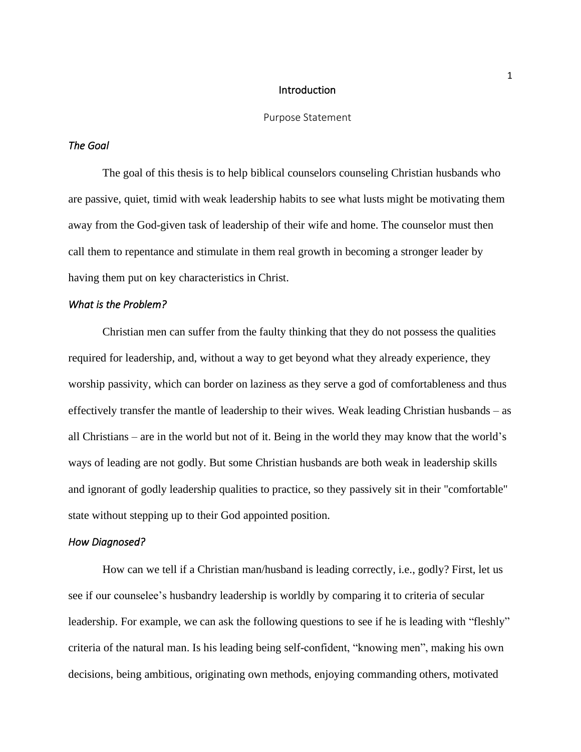#### **Introduction**

#### Purpose Statement

### <span id="page-4-1"></span><span id="page-4-0"></span>*The Goal*

The goal of this thesis is to help biblical counselors counseling Christian husbands who are passive, quiet, timid with weak leadership habits to see what lusts might be motivating them away from the God-given task of leadership of their wife and home. The counselor must then call them to repentance and stimulate in them real growth in becoming a stronger leader by having them put on key characteristics in Christ.

### *What is the Problem?*

Christian men can suffer from the faulty thinking that they do not possess the qualities required for leadership, and, without a way to get beyond what they already experience, they worship passivity, which can border on laziness as they serve a god of comfortableness and thus effectively transfer the mantle of leadership to their wives. Weak leading Christian husbands – as all Christians – are in the world but not of it. Being in the world they may know that the world's ways of leading are not godly. But some Christian husbands are both weak in leadership skills and ignorant of godly leadership qualities to practice, so they passively sit in their "comfortable" state without stepping up to their God appointed position.

#### *How Diagnosed?*

How can we tell if a Christian man/husband is leading correctly, i.e., godly? First, let us see if our counselee's husbandry leadership is worldly by comparing it to criteria of secular leadership. For example, we can ask the following questions to see if he is leading with "fleshly" criteria of the natural man. Is his leading being self-confident, "knowing men", making his own decisions, being ambitious, originating own methods, enjoying commanding others, motivated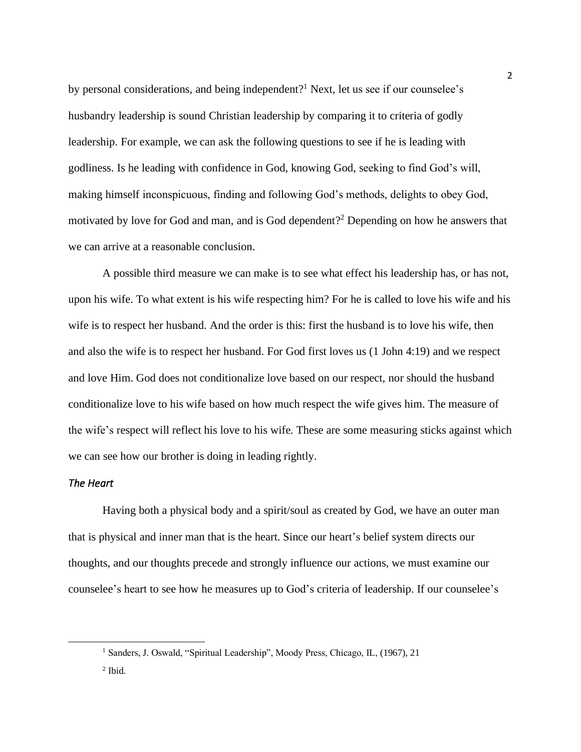by personal considerations, and being independent?<sup>1</sup> Next, let us see if our counselee's husbandry leadership is sound Christian leadership by comparing it to criteria of godly leadership. For example, we can ask the following questions to see if he is leading with godliness. Is he leading with confidence in God, knowing God, seeking to find God's will, making himself inconspicuous, finding and following God's methods, delights to obey God, motivated by love for God and man, and is God dependent?<sup>2</sup> Depending on how he answers that we can arrive at a reasonable conclusion.

A possible third measure we can make is to see what effect his leadership has, or has not, upon his wife. To what extent is his wife respecting him? For he is called to love his wife and his wife is to respect her husband. And the order is this: first the husband is to love his wife, then and also the wife is to respect her husband. For God first loves us (1 John 4:19) and we respect and love Him. God does not conditionalize love based on our respect, nor should the husband conditionalize love to his wife based on how much respect the wife gives him. The measure of the wife's respect will reflect his love to his wife. These are some measuring sticks against which we can see how our brother is doing in leading rightly.

## *The Heart*

Having both a physical body and a spirit/soul as created by God, we have an outer man that is physical and inner man that is the heart. Since our heart's belief system directs our thoughts, and our thoughts precede and strongly influence our actions, we must examine our counselee's heart to see how he measures up to God's criteria of leadership. If our counselee's

<sup>&</sup>lt;sup>1</sup> Sanders, J. Oswald, "Spiritual Leadership", Moody Press, Chicago, IL, (1967), 21

<sup>2</sup> Ibid.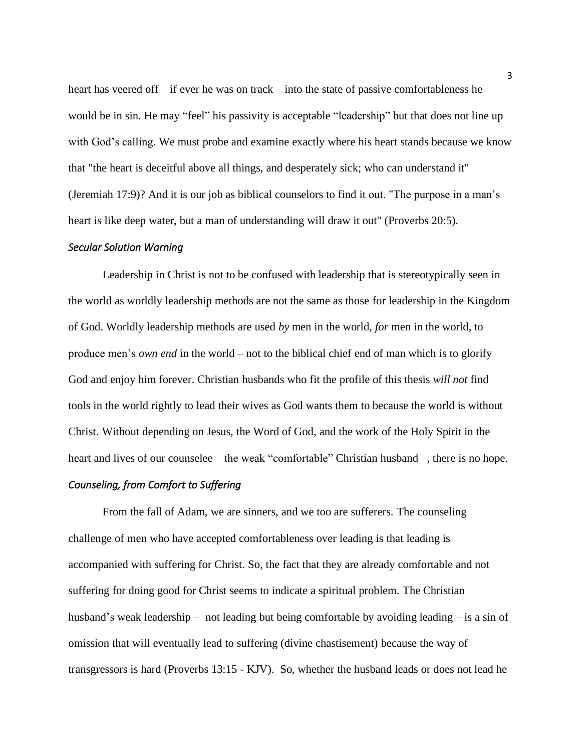heart has veered off – if ever he was on track – into the state of passive comfortableness he would be in sin. He may "feel" his passivity is acceptable "leadership" but that does not line up with God's calling. We must probe and examine exactly where his heart stands because we know that "the heart is deceitful above all things, and desperately sick; who can understand it" (Jeremiah 17:9)? And it is our job as biblical counselors to find it out. "The purpose in a man's heart is like deep water, but a man of understanding will draw it out" (Proverbs 20:5).

### *Secular Solution Warning*

Leadership in Christ is not to be confused with leadership that is stereotypically seen in the world as worldly leadership methods are not the same as those for leadership in the Kingdom of God. Worldly leadership methods are used *by* men in the world, *for* men in the world, to produce men's *own end* in the world – not to the biblical chief end of man which is to glorify God and enjoy him forever. Christian husbands who fit the profile of this thesis *will not* find tools in the world rightly to lead their wives as God wants them to because the world is without Christ. Without depending on Jesus, the Word of God, and the work of the Holy Spirit in the heart and lives of our counselee – the weak "comfortable" Christian husband –, there is no hope.

#### *Counseling, from Comfort to Suffering*

From the fall of Adam, we are sinners, and we too are sufferers. The counseling challenge of men who have accepted comfortableness over leading is that leading is accompanied with suffering for Christ. So, the fact that they are already comfortable and not suffering for doing good for Christ seems to indicate a spiritual problem. The Christian husband's weak leadership – not leading but being comfortable by avoiding leading – is a sin of omission that will eventually lead to suffering (divine chastisement) because the way of transgressors is hard (Proverbs 13:15 - KJV). So, whether the husband leads or does not lead he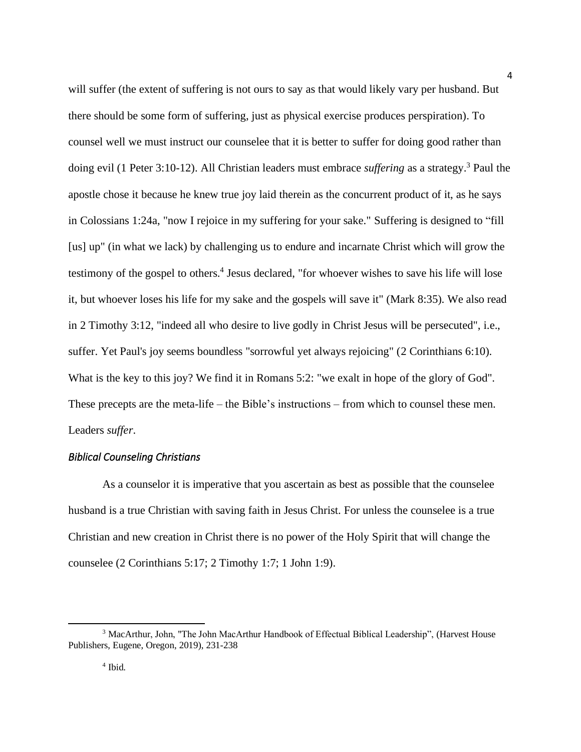will suffer (the extent of suffering is not ours to say as that would likely vary per husband. But there should be some form of suffering, just as physical exercise produces perspiration). To counsel well we must instruct our counselee that it is better to suffer for doing good rather than doing evil (1 Peter 3:10-12). All Christian leaders must embrace *suffering* as a strategy.<sup>3</sup> Paul the apostle chose it because he knew true joy laid therein as the concurrent product of it, as he says in Colossians 1:24a, "now I rejoice in my suffering for your sake." Suffering is designed to "fill [us] up" (in what we lack) by challenging us to endure and incarnate Christ which will grow the testimony of the gospel to others. 4 Jesus declared, "for whoever wishes to save his life will lose it, but whoever loses his life for my sake and the gospels will save it" (Mark 8:35). We also read in 2 Timothy 3:12, "indeed all who desire to live godly in Christ Jesus will be persecuted", i.e., suffer. Yet Paul's joy seems boundless "sorrowful yet always rejoicing" (2 Corinthians 6:10). What is the key to this joy? We find it in Romans 5:2: "we exalt in hope of the glory of God". These precepts are the meta-life – the Bible's instructions – from which to counsel these men. Leaders *suffer*.

4

### *Biblical Counseling Christians*

As a counselor it is imperative that you ascertain as best as possible that the counselee husband is a true Christian with saving faith in Jesus Christ. For unless the counselee is a true Christian and new creation in Christ there is no power of the Holy Spirit that will change the counselee (2 Corinthians 5:17; 2 Timothy 1:7; 1 John 1:9).

<sup>3</sup> MacArthur, John, "The John MacArthur Handbook of Effectual Biblical Leadership", (Harvest House Publishers, Eugene, Oregon, 2019), 231-238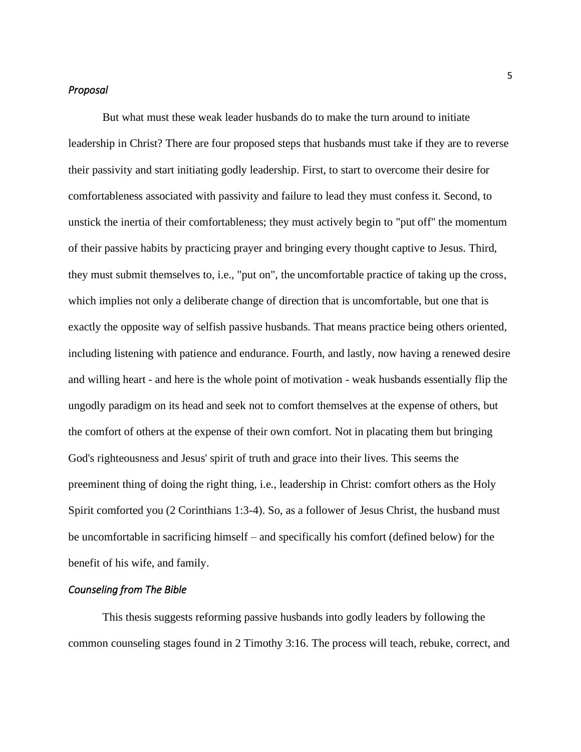#### *Proposal*

But what must these weak leader husbands do to make the turn around to initiate leadership in Christ? There are four proposed steps that husbands must take if they are to reverse their passivity and start initiating godly leadership. First, to start to overcome their desire for comfortableness associated with passivity and failure to lead they must confess it. Second, to unstick the inertia of their comfortableness; they must actively begin to "put off" the momentum of their passive habits by practicing prayer and bringing every thought captive to Jesus. Third, they must submit themselves to, i.e., "put on", the uncomfortable practice of taking up the cross, which implies not only a deliberate change of direction that is uncomfortable, but one that is exactly the opposite way of selfish passive husbands. That means practice being others oriented, including listening with patience and endurance. Fourth, and lastly, now having a renewed desire and willing heart - and here is the whole point of motivation - weak husbands essentially flip the ungodly paradigm on its head and seek not to comfort themselves at the expense of others, but the comfort of others at the expense of their own comfort. Not in placating them but bringing God's righteousness and Jesus' spirit of truth and grace into their lives. This seems the preeminent thing of doing the right thing, i.e., leadership in Christ: comfort others as the Holy Spirit comforted you (2 Corinthians 1:3-4). So, as a follower of Jesus Christ, the husband must be uncomfortable in sacrificing himself – and specifically his comfort (defined below) for the benefit of his wife, and family.

### *Counseling from The Bible*

This thesis suggests reforming passive husbands into godly leaders by following the common counseling stages found in 2 Timothy 3:16. The process will teach, rebuke, correct, and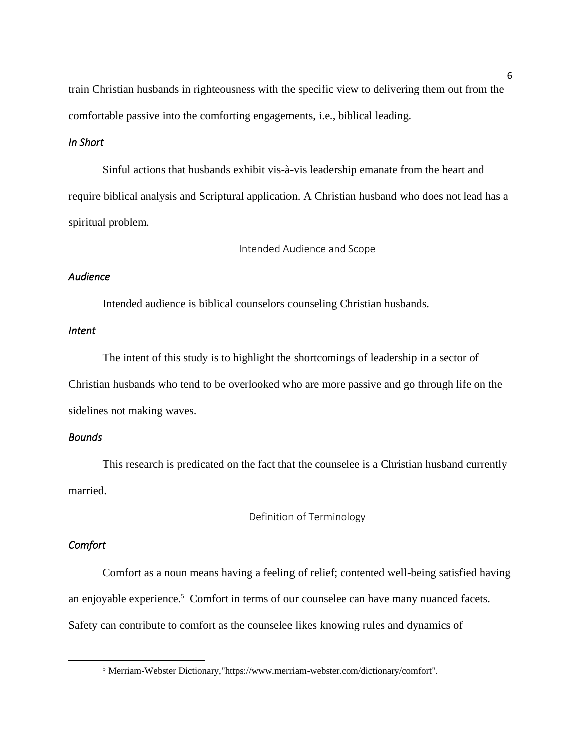train Christian husbands in righteousness with the specific view to delivering them out from the comfortable passive into the comforting engagements, i.e., biblical leading.

## *In Short*

Sinful actions that husbands exhibit vis-à-vis leadership emanate from the heart and require biblical analysis and Scriptural application. A Christian husband who does not lead has a spiritual problem.

Intended Audience and Scope

## <span id="page-9-0"></span>*Audience*

Intended audience is biblical counselors counseling Christian husbands.

## *Intent*

The intent of this study is to highlight the shortcomings of leadership in a sector of Christian husbands who tend to be overlooked who are more passive and go through life on the sidelines not making waves.

### *Bounds*

This research is predicated on the fact that the counselee is a Christian husband currently married.

Definition of Terminology

## <span id="page-9-1"></span>*Comfort*

Comfort as a noun means having a feeling of relief; contented well-being satisfied having an enjoyable experience. <sup>5</sup> Comfort in terms of our counselee can have many nuanced facets. Safety can contribute to comfort as the counselee likes knowing rules and dynamics of

<sup>5</sup> Merriam-Webster Dictionary,"https://www.merriam-webster.com/dictionary/comfort".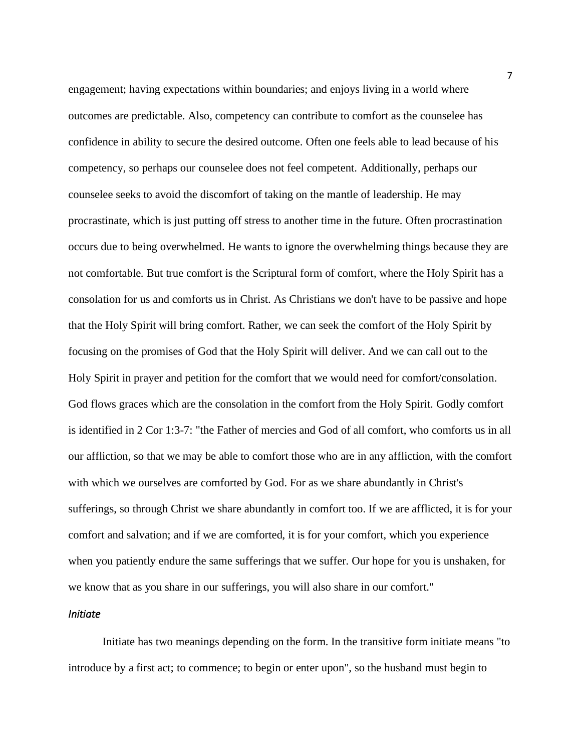engagement; having expectations within boundaries; and enjoys living in a world where outcomes are predictable. Also, competency can contribute to comfort as the counselee has confidence in ability to secure the desired outcome. Often one feels able to lead because of his competency, so perhaps our counselee does not feel competent. Additionally, perhaps our counselee seeks to avoid the discomfort of taking on the mantle of leadership. He may procrastinate, which is just putting off stress to another time in the future. Often procrastination occurs due to being overwhelmed. He wants to ignore the overwhelming things because they are not comfortable. But true comfort is the Scriptural form of comfort, where the Holy Spirit has a consolation for us and comforts us in Christ. As Christians we don't have to be passive and hope that the Holy Spirit will bring comfort. Rather, we can seek the comfort of the Holy Spirit by focusing on the promises of God that the Holy Spirit will deliver. And we can call out to the Holy Spirit in prayer and petition for the comfort that we would need for comfort/consolation. God flows graces which are the consolation in the comfort from the Holy Spirit. Godly comfort is identified in 2 Cor 1:3-7: "the Father of mercies and God of all comfort, who comforts us in all our affliction, so that we may be able to comfort those who are in any affliction, with the comfort with which we ourselves are comforted by God. For as we share abundantly in Christ's sufferings, so through Christ we share abundantly in comfort too. If we are afflicted, it is for your comfort and salvation; and if we are comforted, it is for your comfort, which you experience when you patiently endure the same sufferings that we suffer. Our hope for you is unshaken, for we know that as you share in our sufferings, you will also share in our comfort."

## *Initiate*

Initiate has two meanings depending on the form. In the transitive form initiate means "to introduce by a first act; to commence; to begin or enter upon", so the husband must begin to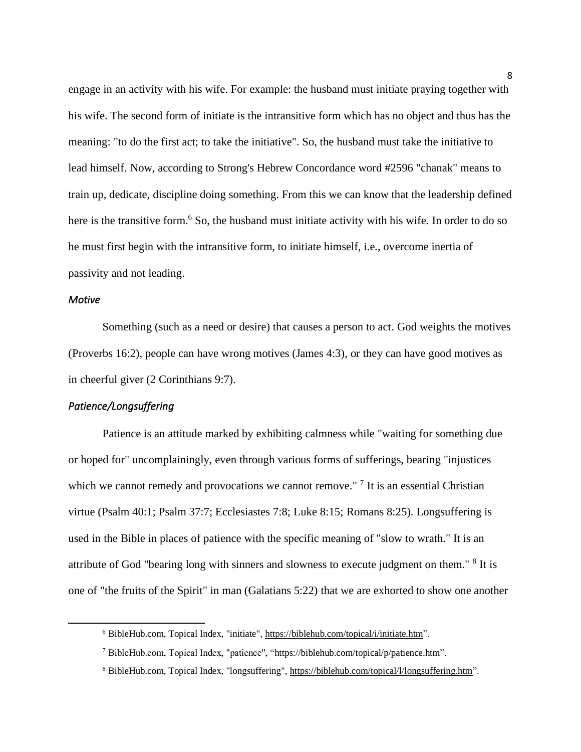engage in an activity with his wife. For example: the husband must initiate praying together with his wife. The second form of initiate is the intransitive form which has no object and thus has the meaning: "to do the first act; to take the initiative". So, the husband must take the initiative to lead himself. Now, according to Strong's Hebrew Concordance word #2596 "chanak" means to train up, dedicate, discipline doing something. From this we can know that the leadership defined here is the transitive form.<sup>6</sup> So, the husband must initiate activity with his wife. In order to do so he must first begin with the intransitive form, to initiate himself, i.e., overcome inertia of passivity and not leading.

## *Motive*

Something (such as a need or desire) that causes a person to act. God weights the motives (Proverbs 16:2), people can have wrong motives (James 4:3), or they can have good motives as in cheerful giver (2 Corinthians 9:7).

## *Patience/Longsuffering*

Patience is an attitude marked by exhibiting calmness while "waiting for something due or hoped for" uncomplainingly, even through various forms of sufferings, bearing "injustices which we cannot remedy and provocations we cannot remove." <sup>7</sup> It is an essential Christian virtue (Psalm 40:1; Psalm 37:7; Ecclesiastes 7:8; Luke 8:15; Romans 8:25). Longsuffering is used in the Bible in places of patience with the specific meaning of "slow to wrath." It is an attribute of God "bearing long with sinners and slowness to execute judgment on them." <sup>8</sup> It is one of "the fruits of the Spirit" in man (Galatians 5:22) that we are exhorted to show one another

<sup>6</sup> BibleHub.com, Topical Index, "initiate", [https://biblehub.com/topical/i/initiate.htm"](https://biblehub.com/topical/i/initiate.htm).

<sup>7</sup> BibleHub.com, Topical Index, "patience", ["https://biblehub.com/topical/p/patience.htm"](https://biblehub.com/topical/p/patience.htm).

<sup>8</sup> BibleHub.com, Topical Index, "longsuffering", [https://biblehub.com/topical/l/longsuffering.htm"](https://biblehub.com/topical/l/longsuffering.htm).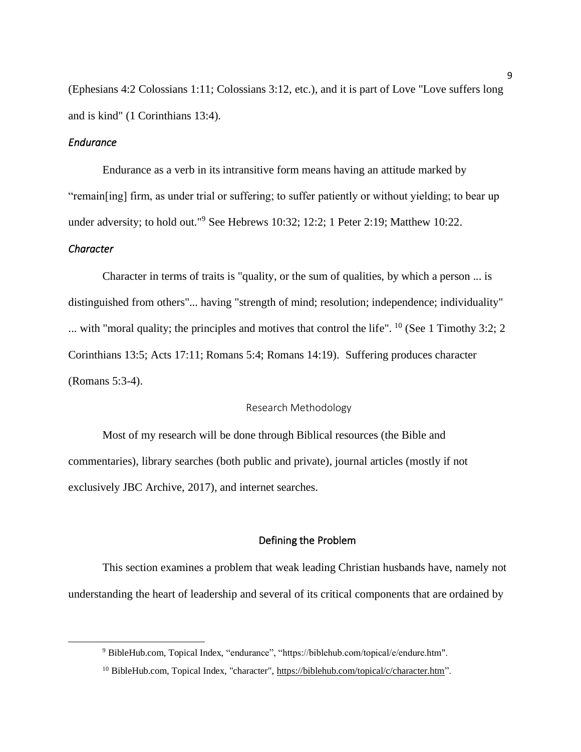(Ephesians 4:2 Colossians 1:11; Colossians 3:12, etc.), and it is part of Love "Love suffers long and is kind" (1 Corinthians 13:4).

### *Endurance*

Endurance as a verb in its intransitive form means having an attitude marked by "remain[ing] firm, as under trial or suffering; to suffer patiently or without yielding; to bear up under adversity; to hold out."<sup>9</sup> See Hebrews 10:32; 12:2; 1 Peter 2:19; Matthew 10:22.

### *Character*

Character in terms of traits is "quality, or the sum of qualities, by which a person ... is distinguished from others"... having "strength of mind; resolution; independence; individuality" ... with "moral quality; the principles and motives that control the life". <sup>10</sup> (See 1 Timothy 3:2; 2) Corinthians 13:5; Acts 17:11; Romans 5:4; Romans 14:19). Suffering produces character (Romans 5:3-4).

### Research Methodology

<span id="page-12-0"></span>Most of my research will be done through Biblical resources (the Bible and commentaries), library searches (both public and private), journal articles (mostly if not exclusively JBC Archive, 2017), and internet searches.

#### Defining the Problem

<span id="page-12-1"></span>This section examines a problem that weak leading Christian husbands have, namely not understanding the heart of leadership and several of its critical components that are ordained by

<sup>9</sup> BibleHub.com, Topical Index, "endurance", "https://biblehub.com/topical/e/endure.htm".

<sup>&</sup>lt;sup>10</sup> BibleHub.com, Topical Index, "character", [https://biblehub.com/topical/c/character.htm"](https://biblehub.com/topical/c/character.htm).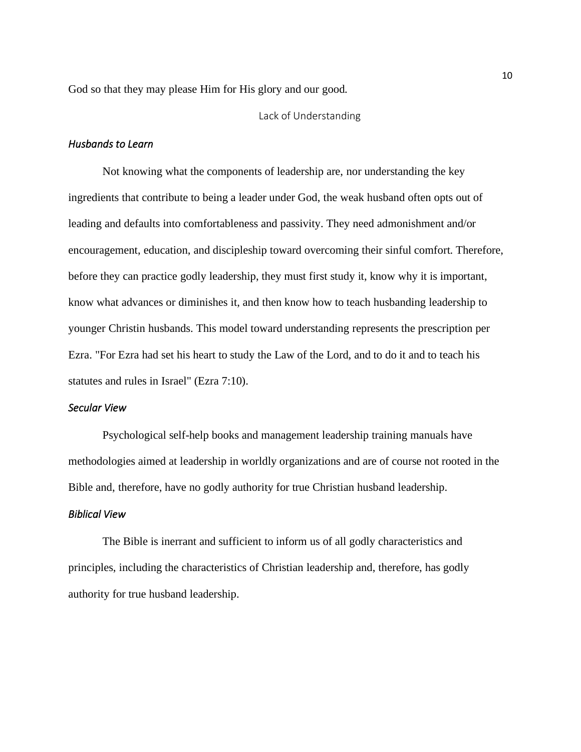<span id="page-13-0"></span>God so that they may please Him for His glory and our good.

### Lack of Understanding

### *Husbands to Learn*

Not knowing what the components of leadership are, nor understanding the key ingredients that contribute to being a leader under God, the weak husband often opts out of leading and defaults into comfortableness and passivity. They need admonishment and/or encouragement, education, and discipleship toward overcoming their sinful comfort. Therefore, before they can practice godly leadership, they must first study it, know why it is important, know what advances or diminishes it, and then know how to teach husbanding leadership to younger Christin husbands. This model toward understanding represents the prescription per Ezra. "For Ezra had set his heart to study the Law of the Lord, and to do it and to teach his statutes and rules in Israel" (Ezra 7:10).

## *Secular View*

Psychological self-help books and management leadership training manuals have methodologies aimed at leadership in worldly organizations and are of course not rooted in the Bible and, therefore, have no godly authority for true Christian husband leadership.

### *Biblical View*

The Bible is inerrant and sufficient to inform us of all godly characteristics and principles, including the characteristics of Christian leadership and, therefore, has godly authority for true husband leadership.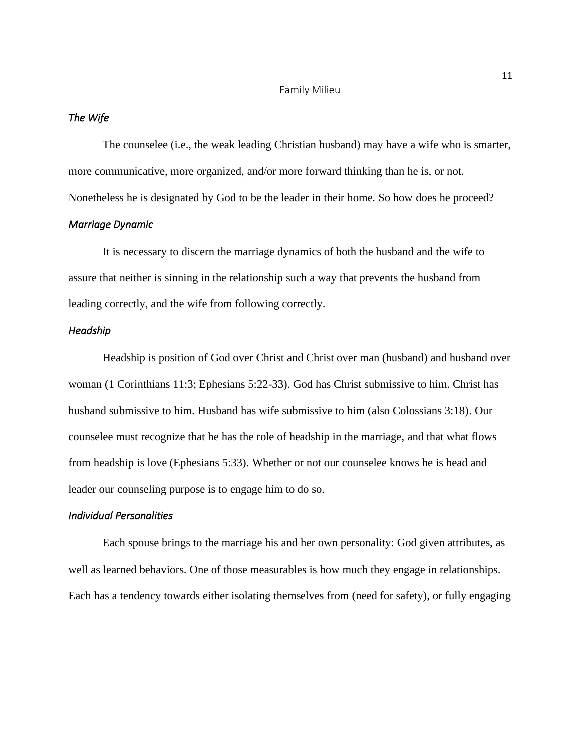#### Family Milieu

#### <span id="page-14-0"></span>*The Wife*

The counselee (i.e., the weak leading Christian husband) may have a wife who is smarter, more communicative, more organized, and/or more forward thinking than he is, or not. Nonetheless he is designated by God to be the leader in their home. So how does he proceed? *Marriage Dynamic* 

It is necessary to discern the marriage dynamics of both the husband and the wife to assure that neither is sinning in the relationship such a way that prevents the husband from leading correctly, and the wife from following correctly.

## *Headship*

Headship is position of God over Christ and Christ over man (husband) and husband over woman (1 Corinthians 11:3; Ephesians 5:22-33). God has Christ submissive to him. Christ has husband submissive to him. Husband has wife submissive to him (also Colossians 3:18). Our counselee must recognize that he has the role of headship in the marriage, and that what flows from headship is love (Ephesians 5:33). Whether or not our counselee knows he is head and leader our counseling purpose is to engage him to do so.

### *Individual Personalities*

Each spouse brings to the marriage his and her own personality: God given attributes, as well as learned behaviors. One of those measurables is how much they engage in relationships. Each has a tendency towards either isolating themselves from (need for safety), or fully engaging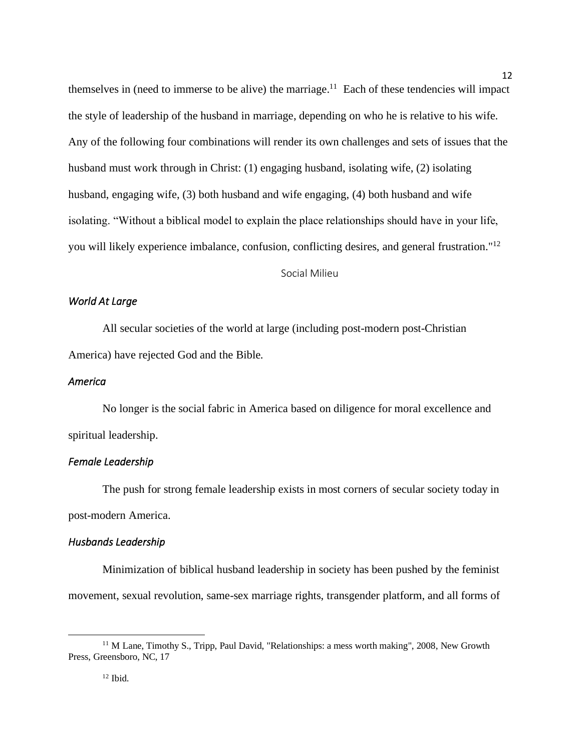themselves in (need to immerse to be alive) the marriage.<sup>11</sup> Each of these tendencies will impact the style of leadership of the husband in marriage, depending on who he is relative to his wife. Any of the following four combinations will render its own challenges and sets of issues that the husband must work through in Christ: (1) engaging husband, isolating wife, (2) isolating husband, engaging wife, (3) both husband and wife engaging, (4) both husband and wife isolating. "Without a biblical model to explain the place relationships should have in your life, you will likely experience imbalance, confusion, conflicting desires, and general frustration."<sup>12</sup>

Social Milieu

### <span id="page-15-0"></span>*World At Large*

All secular societies of the world at large (including post-modern post-Christian America) have rejected God and the Bible.

### *America*

No longer is the social fabric in America based on diligence for moral excellence and spiritual leadership.

## *Female Leadership*

The push for strong female leadership exists in most corners of secular society today in post-modern America.

### *Husbands Leadership*

Minimization of biblical husband leadership in society has been pushed by the feminist movement, sexual revolution, same-sex marriage rights, transgender platform, and all forms of

<sup>&</sup>lt;sup>11</sup> M Lane, Timothy S., Tripp, Paul David, "Relationships: a mess worth making", 2008, New Growth Press, Greensboro, NC, 17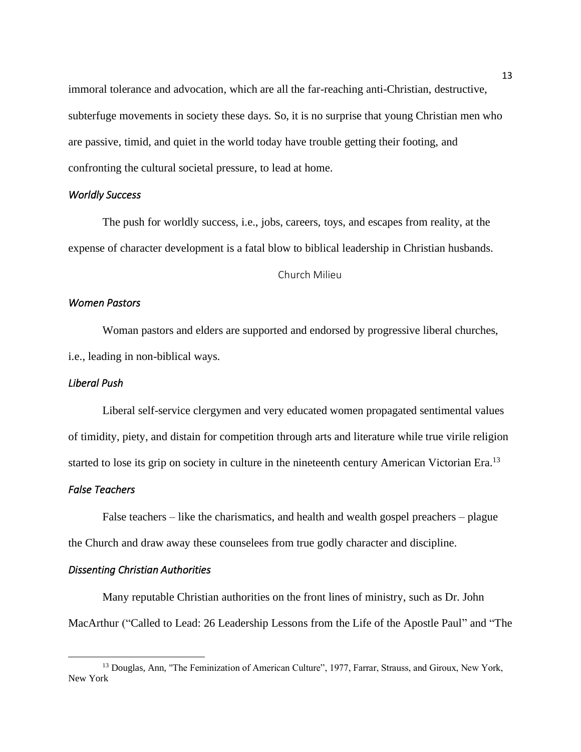immoral tolerance and advocation, which are all the far-reaching anti-Christian, destructive, subterfuge movements in society these days. So, it is no surprise that young Christian men who are passive, timid, and quiet in the world today have trouble getting their footing, and confronting the cultural societal pressure, to lead at home.

## *Worldly Success*

The push for worldly success, i.e., jobs, careers, toys, and escapes from reality, at the expense of character development is a fatal blow to biblical leadership in Christian husbands.

#### Church Milieu

### <span id="page-16-0"></span>*Women Pastors*

Woman pastors and elders are supported and endorsed by progressive liberal churches, i.e., leading in non-biblical ways.

## *Liberal Push*

Liberal self-service clergymen and very educated women propagated sentimental values of timidity, piety, and distain for competition through arts and literature while true virile religion started to lose its grip on society in culture in the nineteenth century American Victorian Era.<sup>13</sup>

#### *False Teachers*

False teachers – like the charismatics, and health and wealth gospel preachers – plague the Church and draw away these counselees from true godly character and discipline.

### *Dissenting Christian Authorities*

Many reputable Christian authorities on the front lines of ministry, such as Dr. John MacArthur ("Called to Lead: 26 Leadership Lessons from the Life of the Apostle Paul" and "The

<sup>&</sup>lt;sup>13</sup> Douglas, Ann, "The Feminization of American Culture", 1977, Farrar, Strauss, and Giroux, New York, New York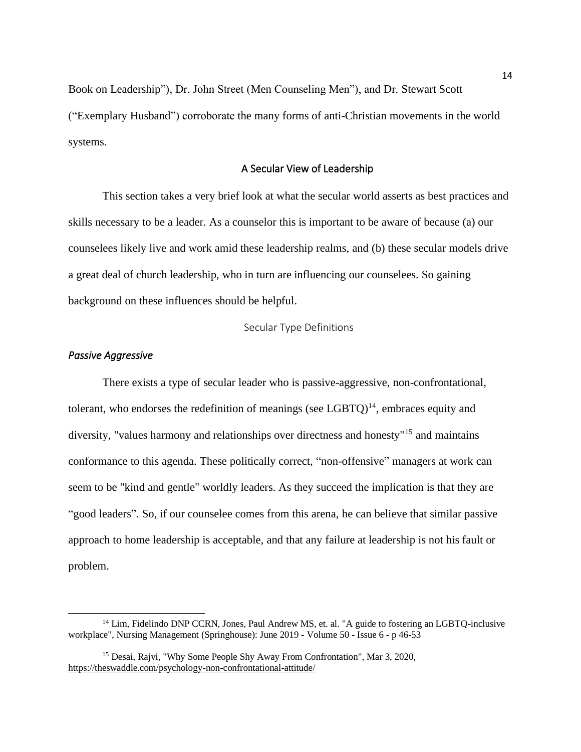Book on Leadership"), Dr. John Street (Men Counseling Men"), and Dr. Stewart Scott ("Exemplary Husband") corroborate the many forms of anti-Christian movements in the world systems.

#### A Secular View of Leadership

<span id="page-17-0"></span>This section takes a very brief look at what the secular world asserts as best practices and skills necessary to be a leader. As a counselor this is important to be aware of because (a) our counselees likely live and work amid these leadership realms, and (b) these secular models drive a great deal of church leadership, who in turn are influencing our counselees. So gaining background on these influences should be helpful.

Secular Type Definitions

## <span id="page-17-1"></span>*Passive Aggressive*

There exists a type of secular leader who is passive-aggressive, non-confrontational, tolerant, who endorses the redefinition of meanings (see  $LGBTO$ )<sup>14</sup>, embraces equity and diversity, "values harmony and relationships over directness and honesty"<sup>15</sup> and maintains conformance to this agenda. These politically correct, "non-offensive" managers at work can seem to be "kind and gentle" worldly leaders. As they succeed the implication is that they are "good leaders". So, if our counselee comes from this arena, he can believe that similar passive approach to home leadership is acceptable, and that any failure at leadership is not his fault or problem.

<sup>&</sup>lt;sup>14</sup> Lim, Fidelindo DNP CCRN, Jones, Paul Andrew MS, et. al. "A guide to fostering an LGBTO-inclusive workplace", Nursing Management (Springhouse): June 2019 - Volume 50 - Issue 6 - p 46-53

<sup>15</sup> Desai, Rajvi, "Why Some People Shy Away From Confrontation", Mar 3, 2020, <https://theswaddle.com/psychology-non-confrontational-attitude/>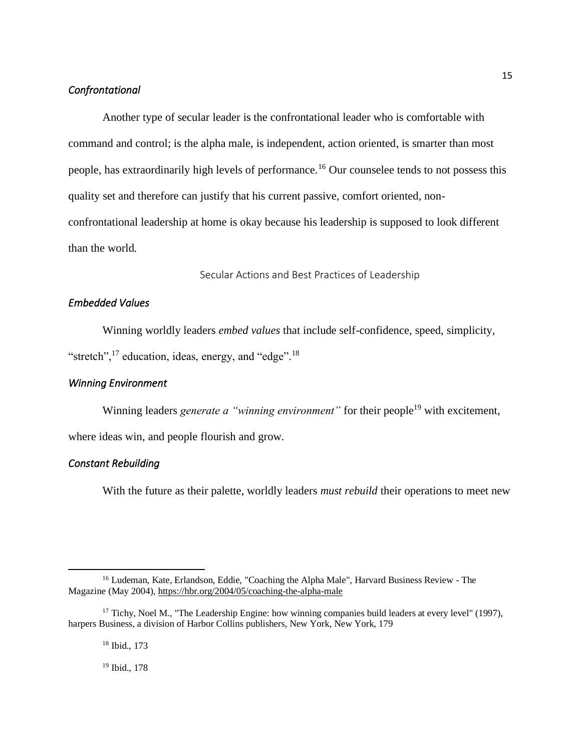### *Confrontational*

Another type of secular leader is the confrontational leader who is comfortable with command and control; is the alpha male, is independent, action oriented, is smarter than most people, has extraordinarily high levels of performance.<sup>16</sup> Our counselee tends to not possess this quality set and therefore can justify that his current passive, comfort oriented, nonconfrontational leadership at home is okay because his leadership is supposed to look different than the world.

Secular Actions and Best Practices of Leadership

## <span id="page-18-0"></span>*Embedded Values*

Winning worldly leaders *embed values* that include self-confidence, speed, simplicity,

"stretch",  $^{17}$  education, ideas, energy, and "edge".<sup>18</sup>

## *Winning Environment*

Winning leaders *generate a "winning environment"* for their people<sup>19</sup> with excitement,

where ideas win, and people flourish and grow.

### *Constant Rebuilding*

With the future as their palette, worldly leaders *must rebuild* their operations to meet new

<sup>18</sup> Ibid., 173

<sup>19</sup> Ibid., 178

<sup>16</sup> Ludeman, Kate, Erlandson, Eddie, "Coaching the Alpha Male", Harvard Business Review - The Magazine (May 2004)[, https://hbr.org/2004/05/coaching-the-alpha-male](https://hbr.org/2004/05/coaching-the-alpha-male) 

<sup>&</sup>lt;sup>17</sup> Tichy, Noel M., "The Leadership Engine: how winning companies build leaders at every level" (1997), harpers Business, a division of Harbor Collins publishers, New York, New York, 179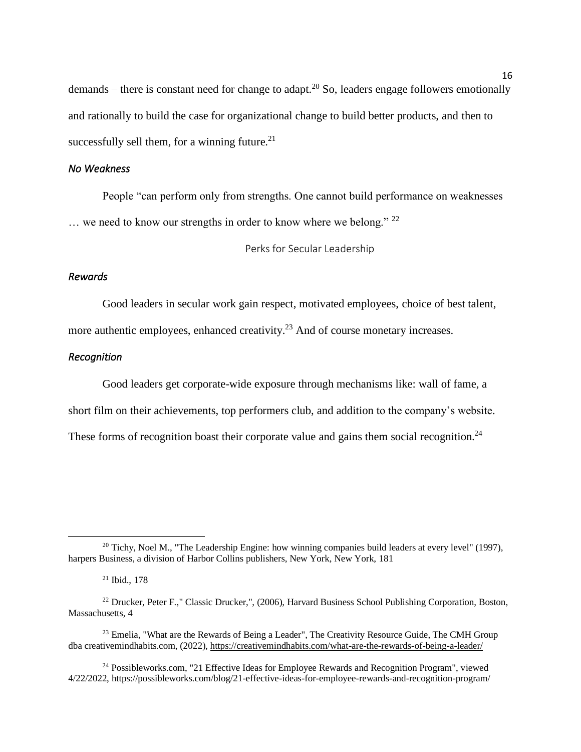demands – there is constant need for change to adapt.<sup>20</sup> So, leaders engage followers emotionally and rationally to build the case for organizational change to build better products, and then to successfully sell them, for a winning future. $21$ 

### *No Weakness*

People "can perform only from strengths. One cannot build performance on weaknesses  $\ldots$  we need to know our strengths in order to know where we belong." 22

Perks for Secular Leadership

### <span id="page-19-0"></span>*Rewards*

Good leaders in secular work gain respect, motivated employees, choice of best talent, more authentic employees, enhanced creativity.<sup>23</sup> And of course monetary increases.

#### *Recognition*

Good leaders get corporate-wide exposure through mechanisms like: wall of fame, a short film on their achievements, top performers club, and addition to the company's website. These forms of recognition boast their corporate value and gains them social recognition.<sup>24</sup>

 $20$  Tichy, Noel M., "The Leadership Engine: how winning companies build leaders at every level" (1997), harpers Business, a division of Harbor Collins publishers, New York, New York, 181

<sup>21</sup> Ibid., 178

<sup>&</sup>lt;sup>22</sup> Drucker, Peter F.," Classic Drucker,", (2006), Harvard Business School Publishing Corporation, Boston, Massachusetts, 4

<sup>&</sup>lt;sup>23</sup> Emelia, "What are the Rewards of Being a Leader", The Creativity Resource Guide, The CMH Group dba creativemindhabits.com, (2022)[, https://creativemindhabits.com/what-are-the-rewards-of-being-a-leader/](https://creativemindhabits.com/what-are-the-rewards-of-being-a-leader/)

<sup>&</sup>lt;sup>24</sup> Possibleworks.com, "21 Effective Ideas for Employee Rewards and Recognition Program", viewed 4/22/2022, https://possibleworks.com/blog/21-effective-ideas-for-employee-rewards-and-recognition-program/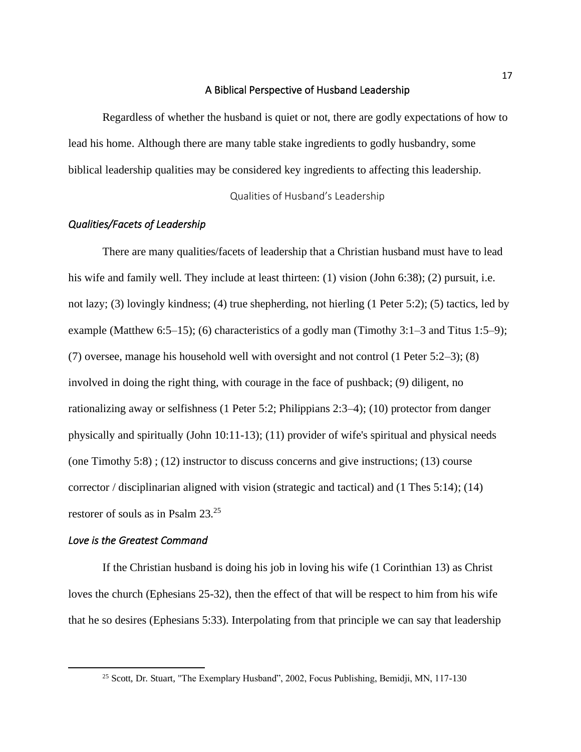#### A Biblical Perspective of Husband Leadership

<span id="page-20-0"></span>Regardless of whether the husband is quiet or not, there are godly expectations of how to lead his home. Although there are many table stake ingredients to godly husbandry, some biblical leadership qualities may be considered key ingredients to affecting this leadership.

Qualities of Husband's Leadership

### <span id="page-20-1"></span>*Qualities/Facets of Leadership*

There are many qualities/facets of leadership that a Christian husband must have to lead his wife and family well. They include at least thirteen: (1) vision (John 6:38); (2) pursuit, i.e. not lazy; (3) lovingly kindness; (4) true shepherding, not hierling (1 Peter 5:2); (5) tactics, led by example (Matthew 6:5–15); (6) characteristics of a godly man (Timothy 3:1–3 and Titus 1:5–9); (7) oversee, manage his household well with oversight and not control (1 Peter 5:2–3); (8) involved in doing the right thing, with courage in the face of pushback; (9) diligent, no rationalizing away or selfishness (1 Peter 5:2; Philippians 2:3–4); (10) protector from danger physically and spiritually (John 10:11-13); (11) provider of wife's spiritual and physical needs (one Timothy 5:8); (12) instructor to discuss concerns and give instructions; (13) course corrector / disciplinarian aligned with vision (strategic and tactical) and (1 Thes 5:14); (14) restorer of souls as in Psalm 23.<sup>25</sup>

## *Love is the Greatest Command*

If the Christian husband is doing his job in loving his wife (1 Corinthian 13) as Christ loves the church (Ephesians 25-32), then the effect of that will be respect to him from his wife that he so desires (Ephesians 5:33). Interpolating from that principle we can say that leadership

<sup>&</sup>lt;sup>25</sup> Scott, Dr. Stuart, "The Exemplary Husband", 2002, Focus Publishing, Bemidji, MN, 117-130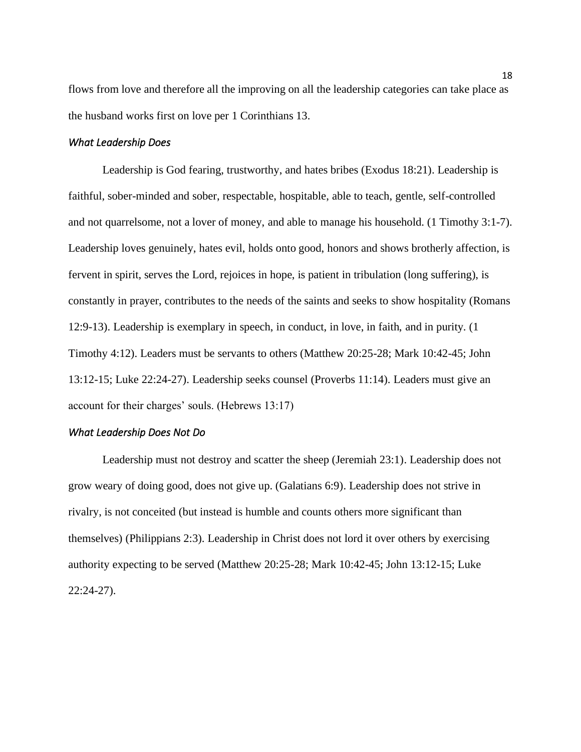flows from love and therefore all the improving on all the leadership categories can take place as the husband works first on love per 1 Corinthians 13.

### *What Leadership Does*

Leadership is God fearing, trustworthy, and hates bribes (Exodus 18:21). Leadership is faithful, sober-minded and sober, respectable, hospitable, able to teach, gentle, self-controlled and not quarrelsome, not a lover of money, and able to manage his household. (1 Timothy 3:1-7). Leadership loves genuinely, hates evil, holds onto good, honors and shows brotherly affection, is fervent in spirit, serves the Lord, rejoices in hope, is patient in tribulation (long suffering), is constantly in prayer, contributes to the needs of the saints and seeks to show hospitality (Romans 12:9-13). Leadership is exemplary in speech, in conduct, in love, in faith, and in purity. (1 Timothy 4:12). Leaders must be servants to others (Matthew 20:25-28; Mark 10:42-45; John 13:12-15; Luke 22:24-27). Leadership seeks counsel (Proverbs 11:14). Leaders must give an account for their charges' souls. (Hebrews 13:17)

### *What Leadership Does Not Do*

Leadership must not destroy and scatter the sheep (Jeremiah 23:1). Leadership does not grow weary of doing good, does not give up. (Galatians 6:9). Leadership does not strive in rivalry, is not conceited (but instead is humble and counts others more significant than themselves) (Philippians 2:3). Leadership in Christ does not lord it over others by exercising authority expecting to be served (Matthew 20:25-28; Mark 10:42-45; John 13:12-15; Luke 22:24-27).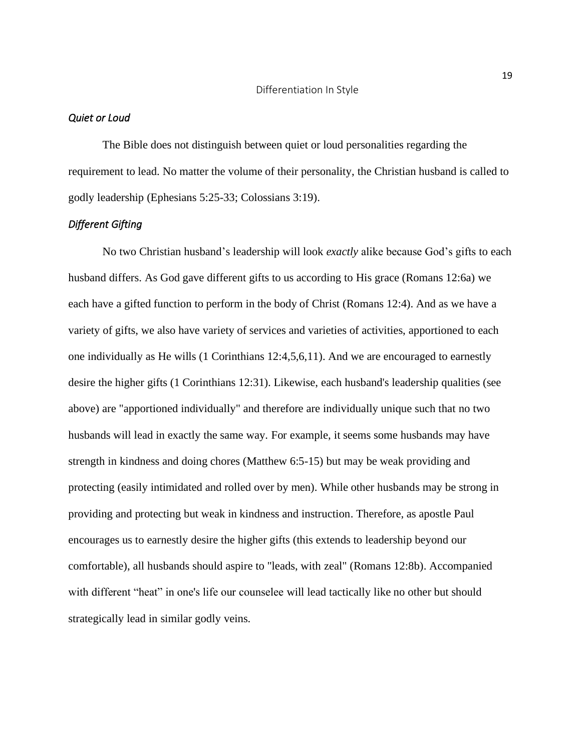#### <span id="page-22-0"></span>*Quiet or Loud*

The Bible does not distinguish between quiet or loud personalities regarding the requirement to lead. No matter the volume of their personality, the Christian husband is called to godly leadership (Ephesians 5:25-33; Colossians 3:19).

### *Different Gifting*

No two Christian husband's leadership will look *exactly* alike because God's gifts to each husband differs. As God gave different gifts to us according to His grace (Romans 12:6a) we each have a gifted function to perform in the body of Christ (Romans 12:4). And as we have a variety of gifts, we also have variety of services and varieties of activities, apportioned to each one individually as He wills (1 Corinthians 12:4,5,6,11). And we are encouraged to earnestly desire the higher gifts (1 Corinthians 12:31). Likewise, each husband's leadership qualities (see above) are "apportioned individually" and therefore are individually unique such that no two husbands will lead in exactly the same way. For example, it seems some husbands may have strength in kindness and doing chores (Matthew 6:5-15) but may be weak providing and protecting (easily intimidated and rolled over by men). While other husbands may be strong in providing and protecting but weak in kindness and instruction. Therefore, as apostle Paul encourages us to earnestly desire the higher gifts (this extends to leadership beyond our comfortable), all husbands should aspire to "leads, with zeal" (Romans 12:8b). Accompanied with different "heat" in one's life our counselee will lead tactically like no other but should strategically lead in similar godly veins.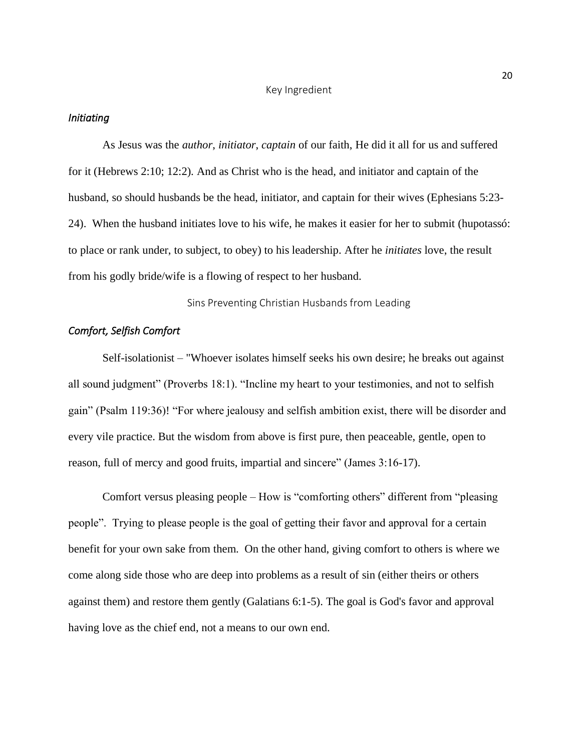#### Key Ingredient

#### <span id="page-23-0"></span>*Initiating*

As Jesus was the *author*, *initiator*, *captain* of our faith, He did it all for us and suffered for it (Hebrews 2:10; 12:2). And as Christ who is the head, and initiator and captain of the husband, so should husbands be the head, initiator, and captain for their wives (Ephesians 5:23- 24). When the husband initiates love to his wife, he makes it easier for her to submit (hupotassó: to place or rank under, to subject, to obey) to his leadership. After he *initiates* love, the result from his godly bride/wife is a flowing of respect to her husband.

Sins Preventing Christian Husbands from Leading

## <span id="page-23-1"></span>*Comfort, Selfish Comfort*

Self-isolationist – "Whoever isolates himself seeks his own desire; he breaks out against all sound judgment" (Proverbs 18:1). "Incline my heart to your testimonies, and not to selfish gain" (Psalm 119:36)! "For where jealousy and selfish ambition exist, there will be disorder and every vile practice. But the wisdom from above is first pure, then peaceable, gentle, open to reason, full of mercy and good fruits, impartial and sincere" (James 3:16-17).

Comfort versus pleasing people – How is "comforting others" different from "pleasing people". Trying to please people is the goal of getting their favor and approval for a certain benefit for your own sake from them. On the other hand, giving comfort to others is where we come along side those who are deep into problems as a result of sin (either theirs or others against them) and restore them gently (Galatians 6:1-5). The goal is God's favor and approval having love as the chief end, not a means to our own end.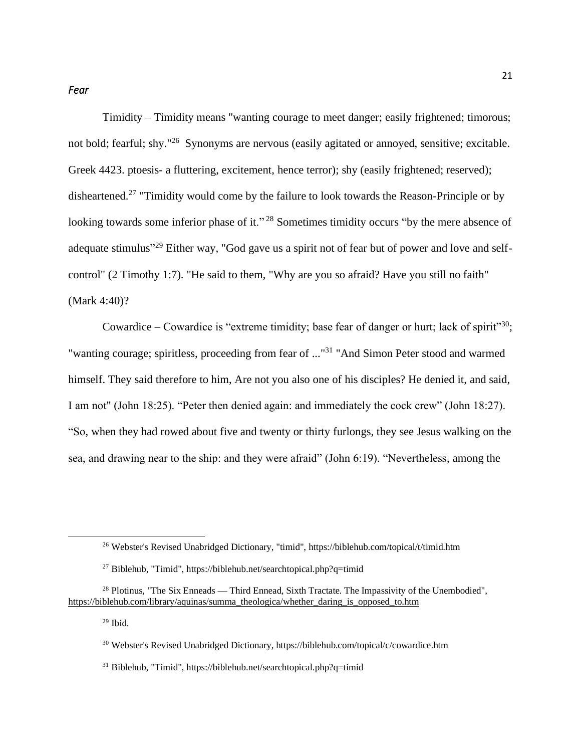Timidity – Timidity means "wanting courage to meet danger; easily frightened; timorous; not bold; fearful; shy."<sup>26</sup> Synonyms are nervous (easily agitated or annoyed, sensitive; excitable. Greek 4423. ptoesis- a fluttering, excitement, hence terror); shy (easily frightened; reserved); disheartened.<sup>27</sup> "Timidity would come by the failure to look towards the Reason-Principle or by looking towards some inferior phase of it."<sup>28</sup> Sometimes timidity occurs "by the mere absence of adequate stimulus"<sup>29</sup> Either way, "God gave us a spirit not of fear but of power and love and selfcontrol" (2 Timothy 1:7). "He said to them, "Why are you so afraid? Have you still no faith" (Mark 4:40)?

Cowardice – Cowardice is "extreme timidity; base fear of danger or hurt; lack of spirit"<sup>30</sup>; "wanting courage; spiritless, proceeding from fear of ..."<sup>31</sup> "And Simon Peter stood and warmed himself. They said therefore to him, Are not you also one of his disciples? He denied it, and said, I am not" (John 18:25). "Peter then denied again: and immediately the cock crew" (John 18:27). "So, when they had rowed about five and twenty or thirty furlongs, they see Jesus walking on the sea, and drawing near to the ship: and they were afraid" (John 6:19). "Nevertheless, among the

 $29$  Ibid.

<sup>26</sup> Webster's Revised Unabridged Dictionary, "timid", https://biblehub.com/topical/t/timid.htm

<sup>&</sup>lt;sup>27</sup> Biblehub, "Timid", https://biblehub.net/searchtopical.php?q=timid

<sup>&</sup>lt;sup>28</sup> Plotinus, "The Six Enneads — Third Ennead, Sixth Tractate. The Impassivity of the Unembodied", [https://biblehub.com/library/aquinas/summa\\_theologica/whether\\_daring\\_is\\_opposed\\_to.htm](about:blank) 

<sup>30</sup> Webster's Revised Unabridged Dictionary, https://biblehub.com/topical/c/cowardice.htm

<sup>31</sup> Biblehub, "Timid", https://biblehub.net/searchtopical.php?q=timid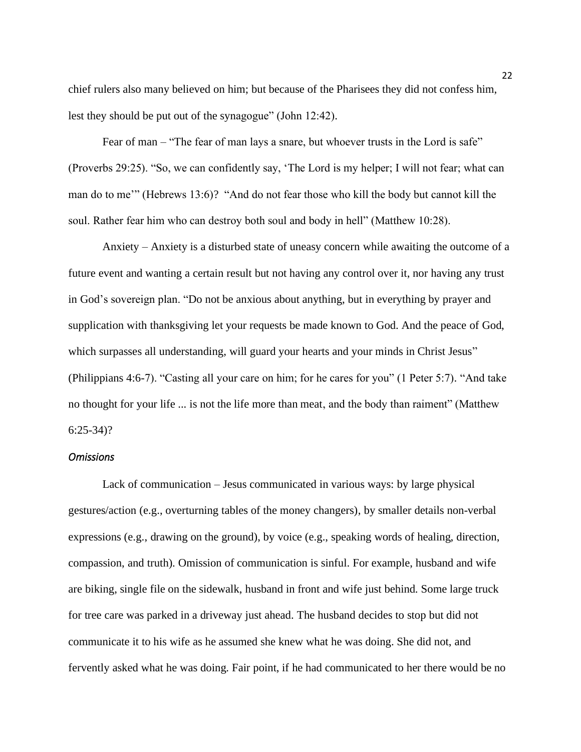chief rulers also many believed on him; but because of the Pharisees they did not confess him, lest they should be put out of the synagogue" (John 12:42).

Fear of man – "The fear of man lays a snare, but whoever trusts in the Lord is safe" (Proverbs 29:25). "So, we can confidently say, 'The Lord is my helper; I will not fear; what can man do to me'" (Hebrews 13:6)? "And do not fear those who kill the body but cannot kill the soul. Rather fear him who can destroy both soul and body in hell" (Matthew 10:28).

Anxiety – Anxiety is a disturbed state of uneasy concern while awaiting the outcome of a future event and wanting a certain result but not having any control over it, nor having any trust in God's sovereign plan. "Do not be anxious about anything, but in everything by prayer and supplication with thanksgiving let your requests be made known to God. And the peace of God, which surpasses all understanding, will guard your hearts and your minds in Christ Jesus" (Philippians 4:6-7). "Casting all your care on him; for he cares for you" (1 Peter 5:7). "And take no thought for your life ... is not the life more than meat, and the body than raiment" (Matthew 6:25-34)?

#### *Omissions*

Lack of communication – Jesus communicated in various ways: by large physical gestures/action (e.g., overturning tables of the money changers), by smaller details non-verbal expressions (e.g., drawing on the ground), by voice (e.g., speaking words of healing, direction, compassion, and truth). Omission of communication is sinful. For example, husband and wife are biking, single file on the sidewalk, husband in front and wife just behind. Some large truck for tree care was parked in a driveway just ahead. The husband decides to stop but did not communicate it to his wife as he assumed she knew what he was doing. She did not, and fervently asked what he was doing. Fair point, if he had communicated to her there would be no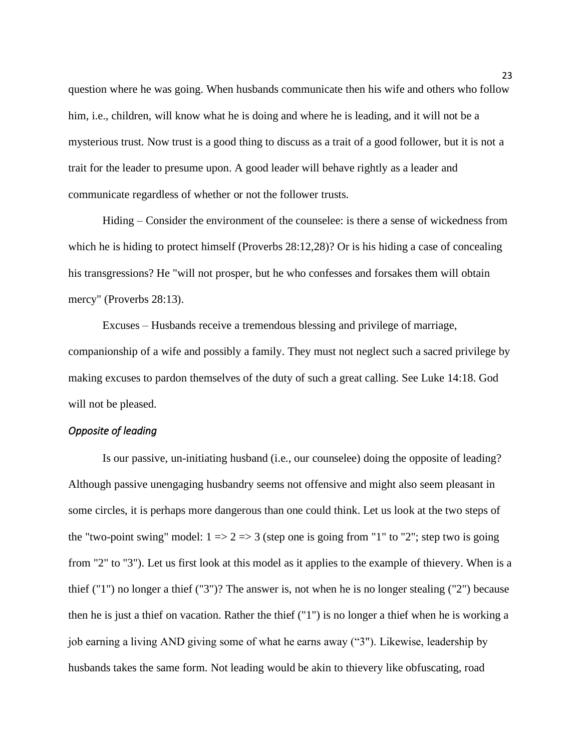question where he was going. When husbands communicate then his wife and others who follow him, i.e., children, will know what he is doing and where he is leading, and it will not be a mysterious trust. Now trust is a good thing to discuss as a trait of a good follower, but it is not a trait for the leader to presume upon. A good leader will behave rightly as a leader and communicate regardless of whether or not the follower trusts.

Hiding – Consider the environment of the counselee: is there a sense of wickedness from which he is hiding to protect himself (Proverbs 28:12,28)? Or is his hiding a case of concealing his transgressions? He "will not prosper, but he who confesses and forsakes them will obtain mercy" (Proverbs 28:13).

Excuses – Husbands receive a tremendous blessing and privilege of marriage, companionship of a wife and possibly a family. They must not neglect such a sacred privilege by making excuses to pardon themselves of the duty of such a great calling. See Luke 14:18. God will not be pleased.

### *Opposite of leading*

Is our passive, un-initiating husband (i.e., our counselee) doing the opposite of leading? Although passive unengaging husbandry seems not offensive and might also seem pleasant in some circles, it is perhaps more dangerous than one could think. Let us look at the two steps of the "two-point swing" model:  $1 \Rightarrow 2 \Rightarrow 3$  (step one is going from "1" to "2"; step two is going from "2" to "3"). Let us first look at this model as it applies to the example of thievery. When is a thief ("1") no longer a thief ("3")? The answer is, not when he is no longer stealing ("2") because then he is just a thief on vacation. Rather the thief ("1") is no longer a thief when he is working a job earning a living AND giving some of what he earns away ("3"). Likewise, leadership by husbands takes the same form. Not leading would be akin to thievery like obfuscating, road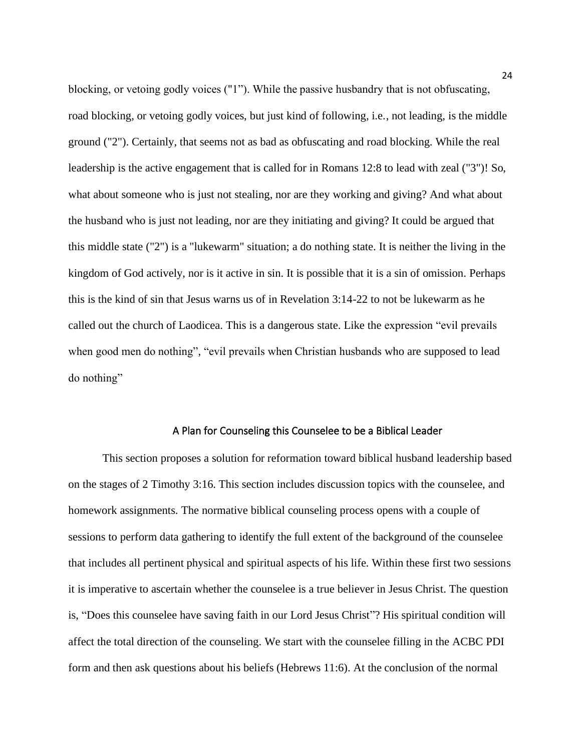blocking, or vetoing godly voices ("1"). While the passive husbandry that is not obfuscating, road blocking, or vetoing godly voices, but just kind of following, i.e., not leading, is the middle ground ("2"). Certainly, that seems not as bad as obfuscating and road blocking. While the real leadership is the active engagement that is called for in Romans 12:8 to lead with zeal ("3")! So, what about someone who is just not stealing, nor are they working and giving? And what about the husband who is just not leading, nor are they initiating and giving? It could be argued that this middle state ("2") is a "lukewarm" situation; a do nothing state. It is neither the living in the kingdom of God actively, nor is it active in sin. It is possible that it is a sin of omission. Perhaps this is the kind of sin that Jesus warns us of in Revelation 3:14-22 to not be lukewarm as he called out the church of Laodicea. This is a dangerous state. Like the expression "evil prevails when good men do nothing", "evil prevails when Christian husbands who are supposed to lead do nothing"

#### A Plan for Counseling this Counselee to be a Biblical Leader

<span id="page-27-0"></span>This section proposes a solution for reformation toward biblical husband leadership based on the stages of 2 Timothy 3:16. This section includes discussion topics with the counselee, and homework assignments. The normative biblical counseling process opens with a couple of sessions to perform data gathering to identify the full extent of the background of the counselee that includes all pertinent physical and spiritual aspects of his life. Within these first two sessions it is imperative to ascertain whether the counselee is a true believer in Jesus Christ. The question is, "Does this counselee have saving faith in our Lord Jesus Christ"? His spiritual condition will affect the total direction of the counseling. We start with the counselee filling in the ACBC PDI form and then ask questions about his beliefs (Hebrews 11:6). At the conclusion of the normal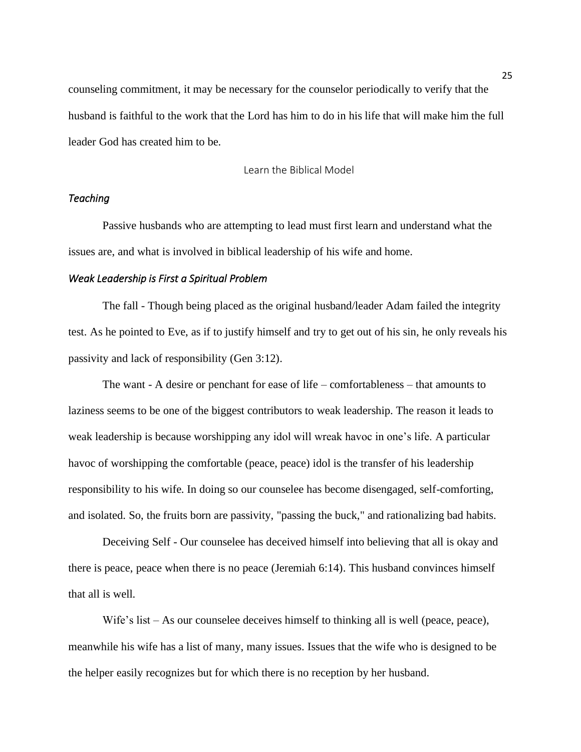counseling commitment, it may be necessary for the counselor periodically to verify that the husband is faithful to the work that the Lord has him to do in his life that will make him the full leader God has created him to be.

Learn the Biblical Model

## <span id="page-28-0"></span>*Teaching*

Passive husbands who are attempting to lead must first learn and understand what the issues are, and what is involved in biblical leadership of his wife and home.

### *Weak Leadership is First a Spiritual Problem*

The fall - Though being placed as the original husband/leader Adam failed the integrity test. As he pointed to Eve, as if to justify himself and try to get out of his sin, he only reveals his passivity and lack of responsibility (Gen 3:12).

The want - A desire or penchant for ease of life – comfortableness – that amounts to laziness seems to be one of the biggest contributors to weak leadership. The reason it leads to weak leadership is because worshipping any idol will wreak havoc in one's life. A particular havoc of worshipping the comfortable (peace, peace) idol is the transfer of his leadership responsibility to his wife. In doing so our counselee has become disengaged, self-comforting, and isolated. So, the fruits born are passivity, "passing the buck," and rationalizing bad habits.

Deceiving Self - Our counselee has deceived himself into believing that all is okay and there is peace, peace when there is no peace (Jeremiah 6:14). This husband convinces himself that all is well.

Wife's list – As our counselee deceives himself to thinking all is well (peace, peace), meanwhile his wife has a list of many, many issues. Issues that the wife who is designed to be the helper easily recognizes but for which there is no reception by her husband.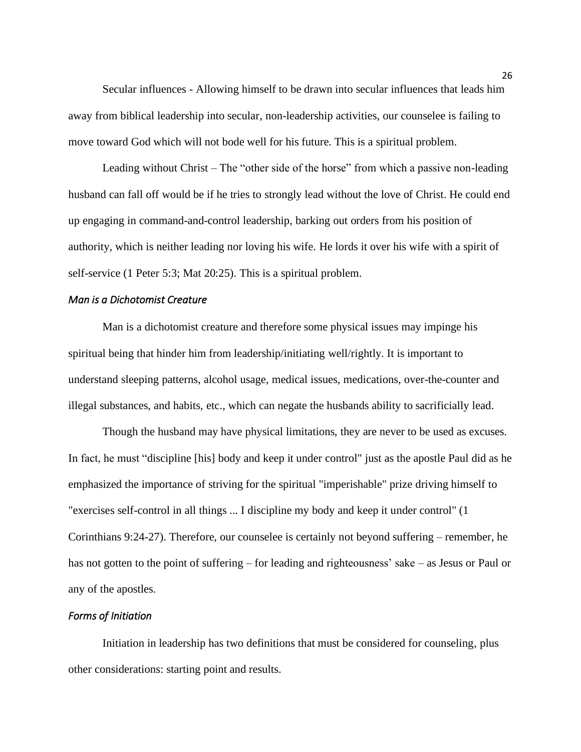Secular influences - Allowing himself to be drawn into secular influences that leads him away from biblical leadership into secular, non-leadership activities, our counselee is failing to move toward God which will not bode well for his future. This is a spiritual problem.

Leading without Christ – The "other side of the horse" from which a passive non-leading husband can fall off would be if he tries to strongly lead without the love of Christ. He could end up engaging in command-and-control leadership, barking out orders from his position of authority, which is neither leading nor loving his wife. He lords it over his wife with a spirit of self-service (1 Peter 5:3; Mat 20:25). This is a spiritual problem.

#### *Man is a Dichotomist Creature*

Man is a dichotomist creature and therefore some physical issues may impinge his spiritual being that hinder him from leadership/initiating well/rightly. It is important to understand sleeping patterns, alcohol usage, medical issues, medications, over-the-counter and illegal substances, and habits, etc., which can negate the husbands ability to sacrificially lead.

Though the husband may have physical limitations, they are never to be used as excuses. In fact, he must "discipline [his] body and keep it under control" just as the apostle Paul did as he emphasized the importance of striving for the spiritual "imperishable" prize driving himself to "exercises self-control in all things ... I discipline my body and keep it under control" (1 Corinthians 9:24-27). Therefore, our counselee is certainly not beyond suffering – remember, he has not gotten to the point of suffering – for leading and righteousness' sake – as Jesus or Paul or any of the apostles.

### *Forms of Initiation*

Initiation in leadership has two definitions that must be considered for counseling, plus other considerations: starting point and results.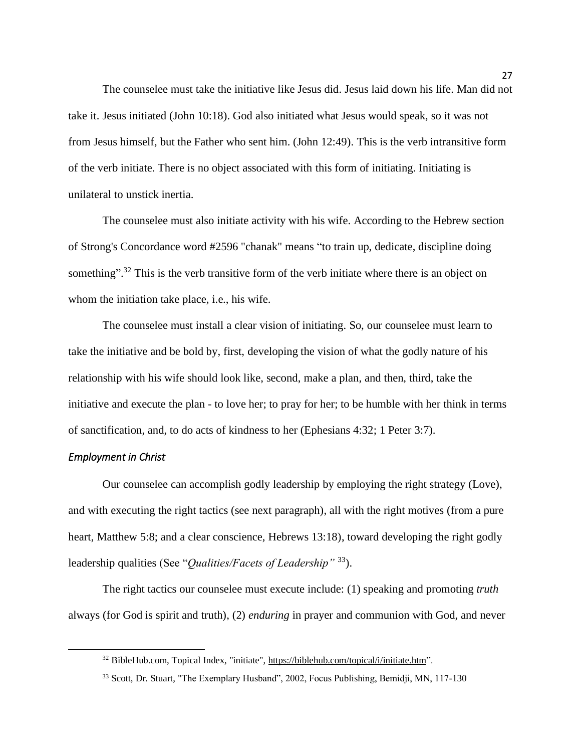The counselee must take the initiative like Jesus did. Jesus laid down his life. Man did not take it. Jesus initiated (John 10:18). God also initiated what Jesus would speak, so it was not from Jesus himself, but the Father who sent him. (John 12:49). This is the verb intransitive form of the verb initiate. There is no object associated with this form of initiating. Initiating is unilateral to unstick inertia.

The counselee must also initiate activity with his wife. According to the Hebrew section of Strong's Concordance word #2596 "chanak" means "to train up, dedicate, discipline doing something".<sup>32</sup> This is the verb transitive form of the verb initiate where there is an object on whom the initiation take place, i.e., his wife.

The counselee must install a clear vision of initiating. So, our counselee must learn to take the initiative and be bold by, first, developing the vision of what the godly nature of his relationship with his wife should look like, second, make a plan, and then, third, take the initiative and execute the plan - to love her; to pray for her; to be humble with her think in terms of sanctification, and, to do acts of kindness to her (Ephesians 4:32; 1 Peter 3:7).

### *Employment in Christ*

Our counselee can accomplish godly leadership by employing the right strategy (Love), and with executing the right tactics (see next paragraph), all with the right motives (from a pure heart, Matthew 5:8; and a clear conscience, Hebrews 13:18), toward developing the right godly leadership qualities (See "*Qualities/Facets of Leadership"* <sup>33</sup>).

The right tactics our counselee must execute include: (1) speaking and promoting *truth* always (for God is spirit and truth), (2) *enduring* in prayer and communion with God, and never

<sup>&</sup>lt;sup>32</sup> BibleHub.com, Topical Index, "initiate"[, https://biblehub.com/topical/i/initiate.htm"](https://biblehub.com/topical/i/initiate.htm).

<sup>&</sup>lt;sup>33</sup> Scott, Dr. Stuart, "The Exemplary Husband", 2002, Focus Publishing, Bemidji, MN, 117-130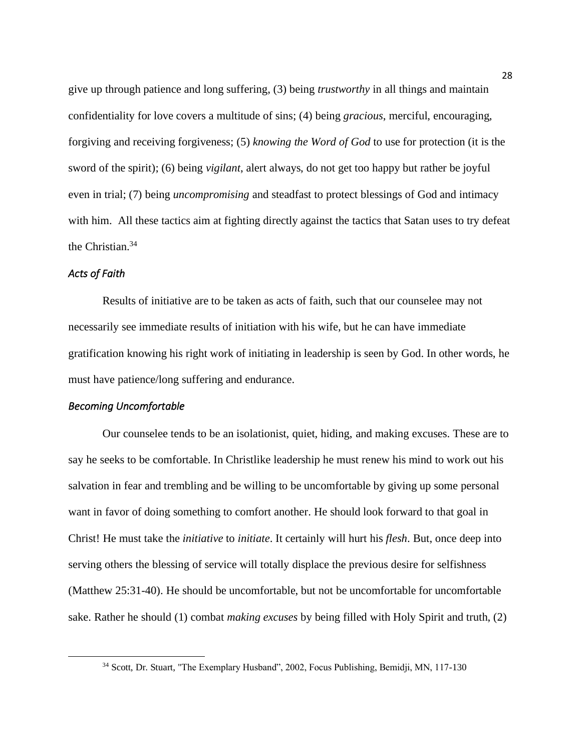give up through patience and long suffering, (3) being *trustworthy* in all things and maintain confidentiality for love covers a multitude of sins; (4) being *gracious*, merciful, encouraging, forgiving and receiving forgiveness; (5) *knowing the Word of God* to use for protection (it is the sword of the spirit); (6) being *vigilant*, alert always, do not get too happy but rather be joyful even in trial; (7) being *uncompromising* and steadfast to protect blessings of God and intimacy with him. All these tactics aim at fighting directly against the tactics that Satan uses to try defeat the Christian.<sup>34</sup>

### *Acts of Faith*

Results of initiative are to be taken as acts of faith, such that our counselee may not necessarily see immediate results of initiation with his wife, but he can have immediate gratification knowing his right work of initiating in leadership is seen by God. In other words, he must have patience/long suffering and endurance.

### *Becoming Uncomfortable*

Our counselee tends to be an isolationist, quiet, hiding, and making excuses. These are to say he seeks to be comfortable. In Christlike leadership he must renew his mind to work out his salvation in fear and trembling and be willing to be uncomfortable by giving up some personal want in favor of doing something to comfort another. He should look forward to that goal in Christ! He must take the *initiative* to *initiate*. It certainly will hurt his *flesh*. But, once deep into serving others the blessing of service will totally displace the previous desire for selfishness (Matthew 25:31-40). He should be uncomfortable, but not be uncomfortable for uncomfortable sake. Rather he should (1) combat *making excuses* by being filled with Holy Spirit and truth, (2)

<sup>&</sup>lt;sup>34</sup> Scott, Dr. Stuart, "The Exemplary Husband", 2002, Focus Publishing, Bemidii, MN, 117-130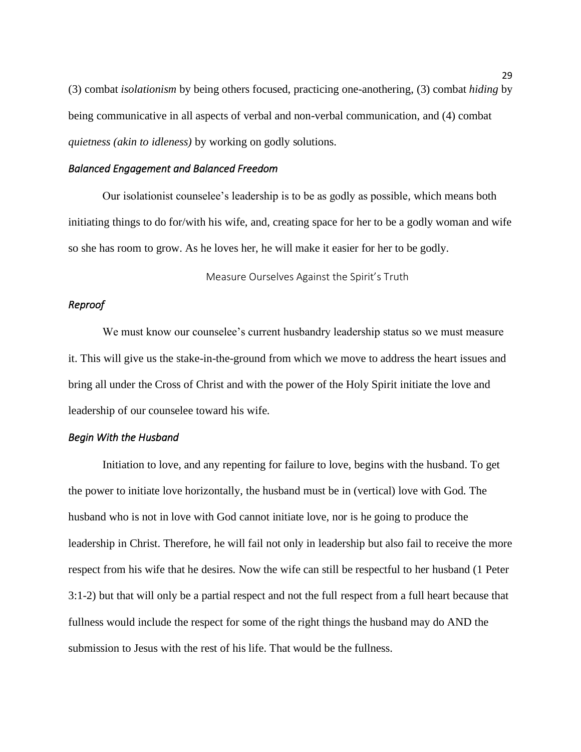(3) combat *isolationism* by being others focused, practicing one-anothering, (3) combat *hiding* by being communicative in all aspects of verbal and non-verbal communication, and (4) combat *quietness (akin to idleness)* by working on godly solutions.

### *Balanced Engagement and Balanced Freedom*

Our isolationist counselee's leadership is to be as godly as possible, which means both initiating things to do for/with his wife, and, creating space for her to be a godly woman and wife so she has room to grow. As he loves her, he will make it easier for her to be godly.

Measure Ourselves Against the Spirit's Truth

### <span id="page-32-0"></span>*Reproof*

We must know our counselee's current husbandry leadership status so we must measure it. This will give us the stake-in-the-ground from which we move to address the heart issues and bring all under the Cross of Christ and with the power of the Holy Spirit initiate the love and leadership of our counselee toward his wife.

### *Begin With the Husband*

Initiation to love, and any repenting for failure to love, begins with the husband. To get the power to initiate love horizontally, the husband must be in (vertical) love with God. The husband who is not in love with God cannot initiate love, nor is he going to produce the leadership in Christ. Therefore, he will fail not only in leadership but also fail to receive the more respect from his wife that he desires. Now the wife can still be respectful to her husband (1 Peter 3:1-2) but that will only be a partial respect and not the full respect from a full heart because that fullness would include the respect for some of the right things the husband may do AND the submission to Jesus with the rest of his life. That would be the fullness.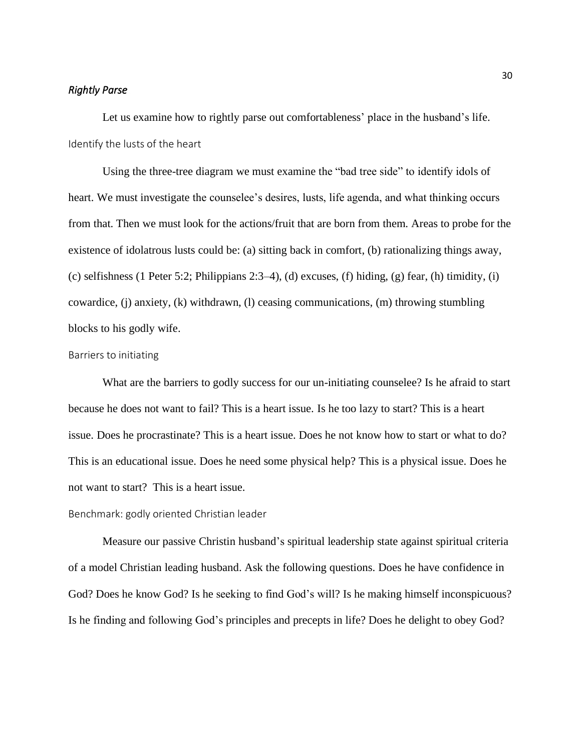### *Rightly Parse*

Let us examine how to rightly parse out comfortableness' place in the husband's life. Identify the lusts of the heart

Using the three-tree diagram we must examine the "bad tree side" to identify idols of heart. We must investigate the counselee's desires, lusts, life agenda, and what thinking occurs from that. Then we must look for the actions/fruit that are born from them. Areas to probe for the existence of idolatrous lusts could be: (a) sitting back in comfort, (b) rationalizing things away, (c) selfishness (1 Peter 5:2; Philippians 2:3–4), (d) excuses, (f) hiding, (g) fear, (h) timidity, (i) cowardice, (j) anxiety, (k) withdrawn, (l) ceasing communications, (m) throwing stumbling blocks to his godly wife.

### Barriers to initiating

What are the barriers to godly success for our un-initiating counselee? Is he afraid to start because he does not want to fail? This is a heart issue. Is he too lazy to start? This is a heart issue. Does he procrastinate? This is a heart issue. Does he not know how to start or what to do? This is an educational issue. Does he need some physical help? This is a physical issue. Does he not want to start? This is a heart issue.

#### Benchmark: godly oriented Christian leader

Measure our passive Christin husband's spiritual leadership state against spiritual criteria of a model Christian leading husband. Ask the following questions. Does he have confidence in God? Does he know God? Is he seeking to find God's will? Is he making himself inconspicuous? Is he finding and following God's principles and precepts in life? Does he delight to obey God?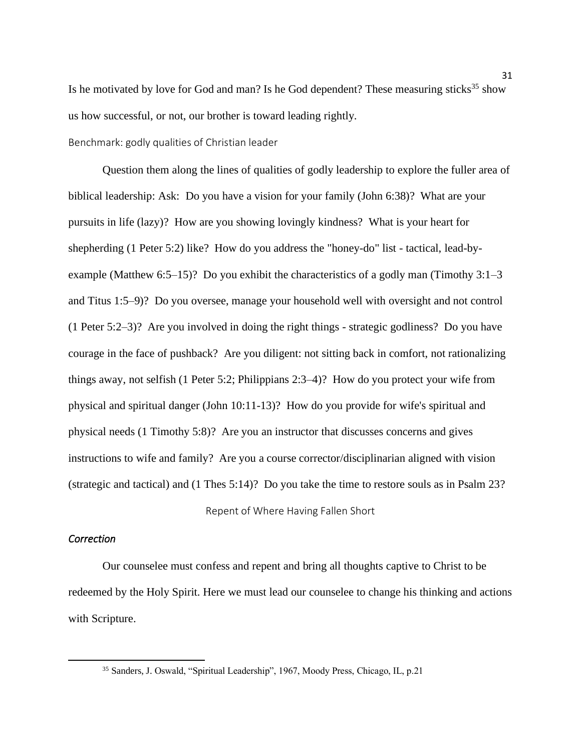Is he motivated by love for God and man? Is he God dependent? These measuring sticks<sup>35</sup> show us how successful, or not, our brother is toward leading rightly.

Benchmark: godly qualities of Christian leader

Question them along the lines of qualities of godly leadership to explore the fuller area of biblical leadership: Ask: Do you have a vision for your family (John 6:38)? What are your pursuits in life (lazy)? How are you showing lovingly kindness? What is your heart for shepherding (1 Peter 5:2) like? How do you address the "honey-do" list - tactical, lead-byexample (Matthew 6:5–15)? Do you exhibit the characteristics of a godly man (Timothy 3:1–3 and Titus 1:5–9)? Do you oversee, manage your household well with oversight and not control (1 Peter 5:2–3)? Are you involved in doing the right things - strategic godliness? Do you have courage in the face of pushback? Are you diligent: not sitting back in comfort, not rationalizing things away, not selfish (1 Peter 5:2; Philippians 2:3–4)? How do you protect your wife from physical and spiritual danger (John 10:11-13)? How do you provide for wife's spiritual and physical needs (1 Timothy 5:8)? Are you an instructor that discusses concerns and gives instructions to wife and family? Are you a course corrector/disciplinarian aligned with vision (strategic and tactical) and (1 Thes 5:14)? Do you take the time to restore souls as in Psalm 23?

Repent of Where Having Fallen Short

### <span id="page-34-0"></span>*Correction*

Our counselee must confess and repent and bring all thoughts captive to Christ to be redeemed by the Holy Spirit. Here we must lead our counselee to change his thinking and actions with Scripture.

<sup>35</sup> Sanders, J. Oswald, "Spiritual Leadership", 1967, Moody Press, Chicago, IL, p.21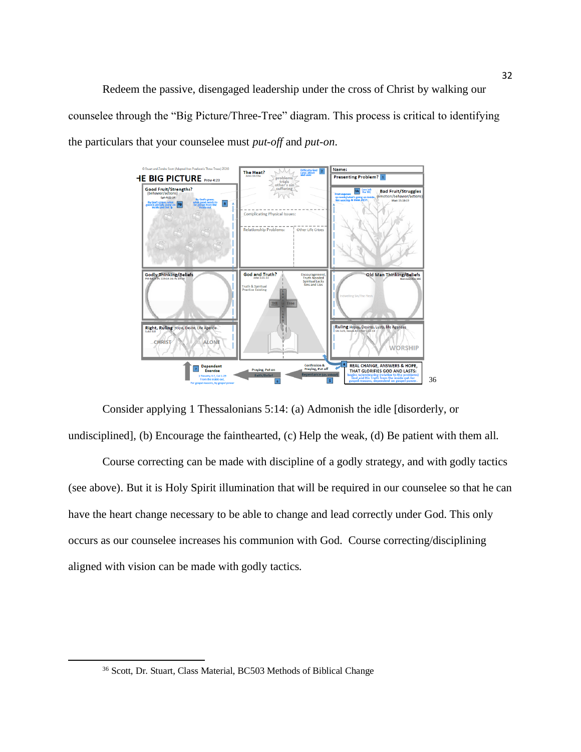Redeem the passive, disengaged leadership under the cross of Christ by walking our counselee through the "Big Picture/Three-Tree" diagram. This process is critical to identifying the particulars that your counselee must *put-off* and *put-on*.



Consider applying 1 Thessalonians 5:14: (a) Admonish the idle [disorderly, or undisciplined], (b) Encourage the fainthearted, (c) Help the weak, (d) Be patient with them all.

Course correcting can be made with discipline of a godly strategy, and with godly tactics (see above). But it is Holy Spirit illumination that will be required in our counselee so that he can have the heart change necessary to be able to change and lead correctly under God. This only occurs as our counselee increases his communion with God. Course correcting/disciplining aligned with vision can be made with godly tactics.

<sup>36</sup> Scott, Dr. Stuart, Class Material, BC503 Methods of Biblical Change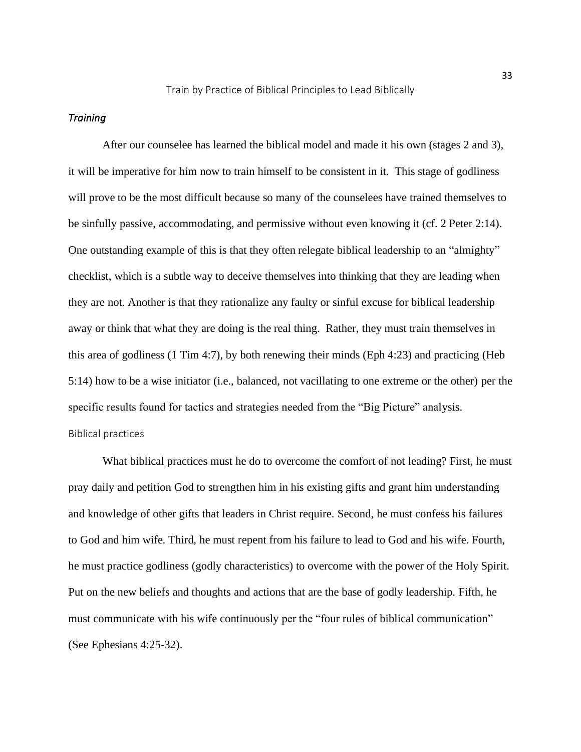#### Train by Practice of Biblical Principles to Lead Biblically

#### <span id="page-36-0"></span>*Training*

After our counselee has learned the biblical model and made it his own (stages 2 and 3), it will be imperative for him now to train himself to be consistent in it. This stage of godliness will prove to be the most difficult because so many of the counselees have trained themselves to be sinfully passive, accommodating, and permissive without even knowing it (cf. 2 Peter 2:14). One outstanding example of this is that they often relegate biblical leadership to an "almighty" checklist, which is a subtle way to deceive themselves into thinking that they are leading when they are not. Another is that they rationalize any faulty or sinful excuse for biblical leadership away or think that what they are doing is the real thing. Rather, they must train themselves in this area of godliness (1 Tim 4:7), by both renewing their minds (Eph 4:23) and practicing (Heb 5:14) how to be a wise initiator (i.e., balanced, not vacillating to one extreme or the other) per the specific results found for tactics and strategies needed from the "Big Picture" analysis. Biblical practices

What biblical practices must he do to overcome the comfort of not leading? First, he must pray daily and petition God to strengthen him in his existing gifts and grant him understanding and knowledge of other gifts that leaders in Christ require. Second, he must confess his failures to God and him wife. Third, he must repent from his failure to lead to God and his wife. Fourth, he must practice godliness (godly characteristics) to overcome with the power of the Holy Spirit. Put on the new beliefs and thoughts and actions that are the base of godly leadership. Fifth, he must communicate with his wife continuously per the "four rules of biblical communication" (See Ephesians 4:25-32).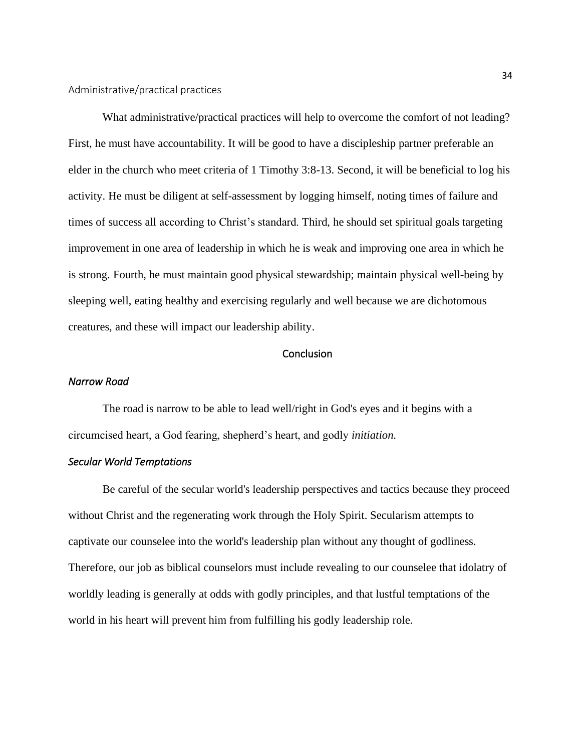What administrative/practical practices will help to overcome the comfort of not leading? First, he must have accountability. It will be good to have a discipleship partner preferable an elder in the church who meet criteria of 1 Timothy 3:8-13. Second, it will be beneficial to log his activity. He must be diligent at self-assessment by logging himself, noting times of failure and times of success all according to Christ's standard. Third, he should set spiritual goals targeting improvement in one area of leadership in which he is weak and improving one area in which he is strong. Fourth, he must maintain good physical stewardship; maintain physical well-being by sleeping well, eating healthy and exercising regularly and well because we are dichotomous creatures, and these will impact our leadership ability.

#### **Conclusion**

#### <span id="page-37-0"></span>*Narrow Road*

The road is narrow to be able to lead well/right in God's eyes and it begins with a circumcised heart, a God fearing, shepherd's heart, and godly *initiation*.

### *Secular World Temptations*

Be careful of the secular world's leadership perspectives and tactics because they proceed without Christ and the regenerating work through the Holy Spirit. Secularism attempts to captivate our counselee into the world's leadership plan without any thought of godliness. Therefore, our job as biblical counselors must include revealing to our counselee that idolatry of worldly leading is generally at odds with godly principles, and that lustful temptations of the world in his heart will prevent him from fulfilling his godly leadership role.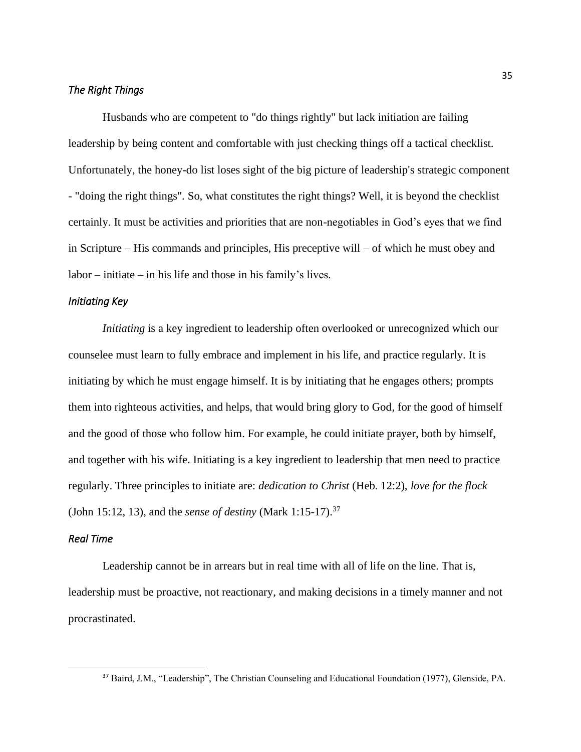## *The Right Things*

Husbands who are competent to "do things rightly" but lack initiation are failing leadership by being content and comfortable with just checking things off a tactical checklist. Unfortunately, the honey-do list loses sight of the big picture of leadership's strategic component - "doing the right things". So, what constitutes the right things? Well, it is beyond the checklist certainly. It must be activities and priorities that are non-negotiables in God's eyes that we find in Scripture – His commands and principles, His preceptive will – of which he must obey and labor – initiate – in his life and those in his family's lives.

#### *Initiating Key*

*Initiating* is a key ingredient to leadership often overlooked or unrecognized which our counselee must learn to fully embrace and implement in his life, and practice regularly. It is initiating by which he must engage himself. It is by initiating that he engages others; prompts them into righteous activities, and helps, that would bring glory to God, for the good of himself and the good of those who follow him. For example, he could initiate prayer, both by himself, and together with his wife. Initiating is a key ingredient to leadership that men need to practice regularly. Three principles to initiate are: *dedication to Christ* (Heb. 12:2), *love for the flock* (John 15:12, 13), and the *sense of destiny* (Mark 1:15-17).<sup>37</sup>

### *Real Time*

Leadership cannot be in arrears but in real time with all of life on the line. That is, leadership must be proactive, not reactionary, and making decisions in a timely manner and not procrastinated.

<sup>37</sup> Baird, J.M., "Leadership", The Christian Counseling and Educational Foundation (1977), Glenside, PA.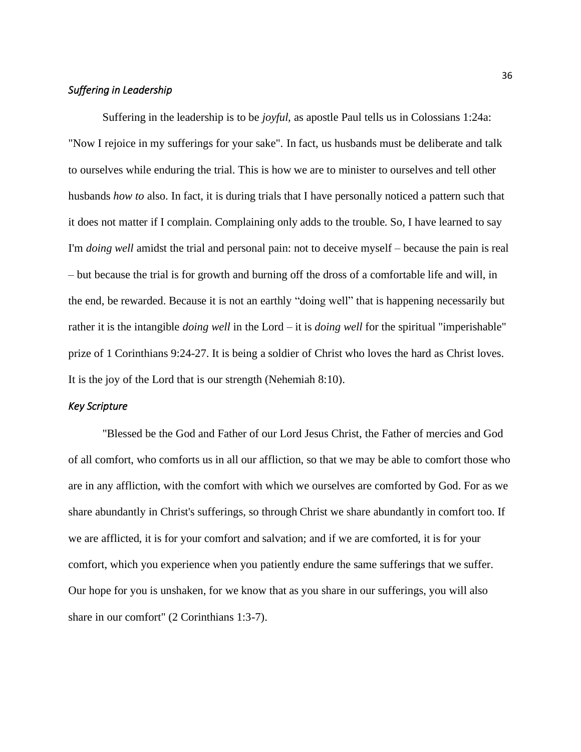## *Suffering in Leadership*

Suffering in the leadership is to be *joyful,* as apostle Paul tells us in Colossians 1:24a: "Now I rejoice in my sufferings for your sake". In fact, us husbands must be deliberate and talk to ourselves while enduring the trial. This is how we are to minister to ourselves and tell other husbands *how to* also. In fact, it is during trials that I have personally noticed a pattern such that it does not matter if I complain. Complaining only adds to the trouble. So, I have learned to say I'm *doing well* amidst the trial and personal pain: not to deceive myself – because the pain is real – but because the trial is for growth and burning off the dross of a comfortable life and will, in the end, be rewarded. Because it is not an earthly "doing well" that is happening necessarily but rather it is the intangible *doing well* in the Lord – it is *doing well* for the spiritual "imperishable" prize of 1 Corinthians 9:24-27. It is being a soldier of Christ who loves the hard as Christ loves. It is the joy of the Lord that is our strength (Nehemiah 8:10).

### *Key Scripture*

"Blessed be the God and Father of our Lord Jesus Christ, the Father of mercies and God of all comfort, who comforts us in all our affliction, so that we may be able to comfort those who are in any affliction, with the comfort with which we ourselves are comforted by God. For as we share abundantly in Christ's sufferings, so through Christ we share abundantly in comfort too. If we are afflicted, it is for your comfort and salvation; and if we are comforted, it is for your comfort, which you experience when you patiently endure the same sufferings that we suffer. Our hope for you is unshaken, for we know that as you share in our sufferings, you will also share in our comfort" (2 Corinthians 1:3-7).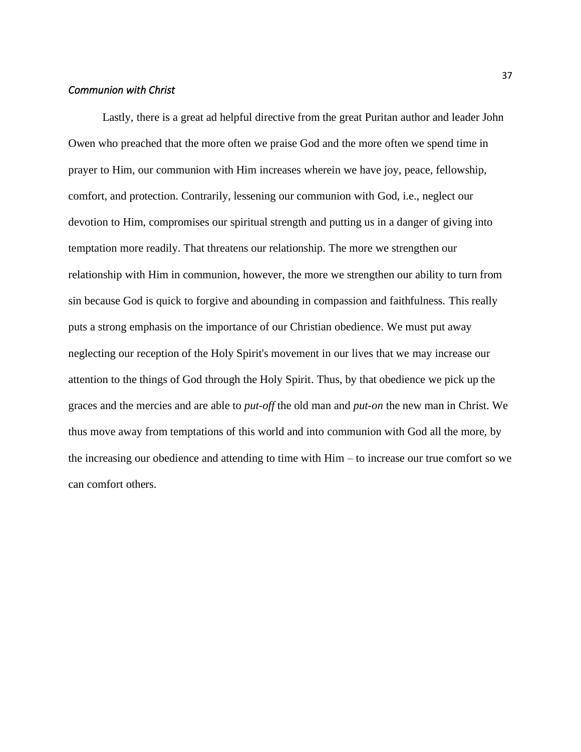### *Communion with Christ*

Lastly, there is a great ad helpful directive from the great Puritan author and leader John Owen who preached that the more often we praise God and the more often we spend time in prayer to Him, our communion with Him increases wherein we have joy, peace, fellowship, comfort, and protection. Contrarily, lessening our communion with God, i.e., neglect our devotion to Him, compromises our spiritual strength and putting us in a danger of giving into temptation more readily. That threatens our relationship. The more we strengthen our relationship with Him in communion, however, the more we strengthen our ability to turn from sin because God is quick to forgive and abounding in compassion and faithfulness. This really puts a strong emphasis on the importance of our Christian obedience. We must put away neglecting our reception of the Holy Spirit's movement in our lives that we may increase our attention to the things of God through the Holy Spirit. Thus, by that obedience we pick up the graces and the mercies and are able to *put-off* the old man and *put-on* the new man in Christ. We thus move away from temptations of this world and into communion with God all the more, by the increasing our obedience and attending to time with Him – to increase our true comfort so we can comfort others.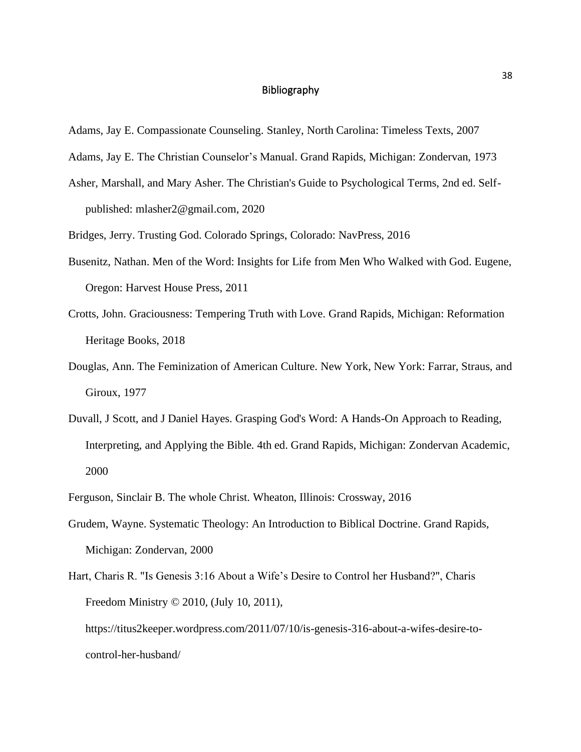### Bibliography

- <span id="page-41-0"></span>Adams, Jay E. Compassionate Counseling. Stanley, North Carolina: Timeless Texts, 2007
- Adams, Jay E. The Christian Counselor's Manual. Grand Rapids, Michigan: Zondervan, 1973
- Asher, Marshall, and Mary Asher. The Christian's Guide to Psychological Terms, 2nd ed. Selfpublished: mlasher2@gmail.com, 2020
- Bridges, Jerry. Trusting God. Colorado Springs, Colorado: NavPress, 2016
- Busenitz, Nathan. Men of the Word: Insights for Life from Men Who Walked with God. Eugene, Oregon: Harvest House Press, 2011
- Crotts, John. Graciousness: Tempering Truth with Love. Grand Rapids, Michigan: Reformation Heritage Books, 2018
- Douglas, Ann. The Feminization of American Culture. New York, New York: Farrar, Straus, and Giroux, 1977
- Duvall, J Scott, and J Daniel Hayes. Grasping God's Word: A Hands-On Approach to Reading, Interpreting, and Applying the Bible. 4th ed. Grand Rapids, Michigan: Zondervan Academic, 2000
- Ferguson, Sinclair B. The whole Christ. Wheaton, Illinois: Crossway, 2016
- Grudem, Wayne. Systematic Theology: An Introduction to Biblical Doctrine. Grand Rapids, Michigan: Zondervan, 2000
- Hart, Charis R. "Is Genesis 3:16 About a Wife's Desire to Control her Husband?", Charis Freedom Ministry © 2010, (July 10, 2011), https://titus2keeper.wordpress.com/2011/07/10/is-genesis-316-about-a-wifes-desire-tocontrol-her-husband/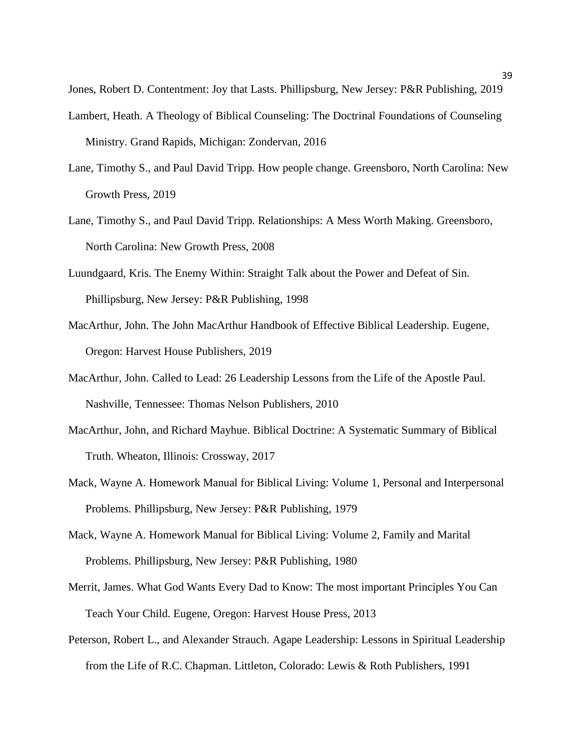Jones, Robert D. Contentment: Joy that Lasts. Phillipsburg, New Jersey: P&R Publishing, 2019

- Lambert, Heath. A Theology of Biblical Counseling: The Doctrinal Foundations of Counseling Ministry. Grand Rapids, Michigan: Zondervan, 2016
- Lane, Timothy S., and Paul David Tripp. How people change. Greensboro, North Carolina: New Growth Press, 2019
- Lane, Timothy S., and Paul David Tripp. Relationships: A Mess Worth Making. Greensboro, North Carolina: New Growth Press, 2008
- Luundgaard, Kris. The Enemy Within: Straight Talk about the Power and Defeat of Sin. Phillipsburg, New Jersey: P&R Publishing, 1998
- MacArthur, John. The John MacArthur Handbook of Effective Biblical Leadership. Eugene, Oregon: Harvest House Publishers, 2019
- MacArthur, John. Called to Lead: 26 Leadership Lessons from the Life of the Apostle Paul. Nashville, Tennessee: Thomas Nelson Publishers, 2010
- MacArthur, John, and Richard Mayhue. Biblical Doctrine: A Systematic Summary of Biblical Truth. Wheaton, Illinois: Crossway, 2017
- Mack, Wayne A. Homework Manual for Biblical Living: Volume 1, Personal and Interpersonal Problems. Phillipsburg, New Jersey: P&R Publishing, 1979
- Mack, Wayne A. Homework Manual for Biblical Living: Volume 2, Family and Marital Problems. Phillipsburg, New Jersey: P&R Publishing, 1980
- Merrit, James. What God Wants Every Dad to Know: The most important Principles You Can Teach Your Child. Eugene, Oregon: Harvest House Press, 2013
- Peterson, Robert L., and Alexander Strauch. Agape Leadership: Lessons in Spiritual Leadership from the Life of R.C. Chapman. Littleton, Colorado: Lewis & Roth Publishers, 1991